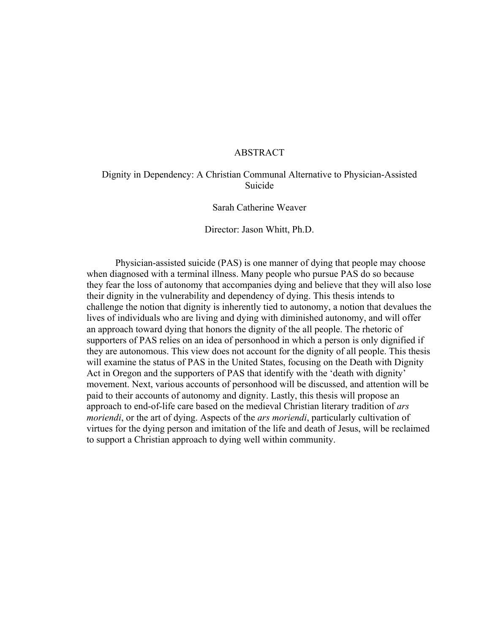#### ABSTRACT

# Dignity in Dependency: A Christian Communal Alternative to Physician-Assisted Suicide

Sarah Catherine Weaver

Director: Jason Whitt, Ph.D.

Physician-assisted suicide (PAS) is one manner of dying that people may choose when diagnosed with a terminal illness. Many people who pursue PAS do so because they fear the loss of autonomy that accompanies dying and believe that they will also lose their dignity in the vulnerability and dependency of dying. This thesis intends to challenge the notion that dignity is inherently tied to autonomy, a notion that devalues the lives of individuals who are living and dying with diminished autonomy, and will offer an approach toward dying that honors the dignity of the all people. The rhetoric of supporters of PAS relies on an idea of personhood in which a person is only dignified if they are autonomous. This view does not account for the dignity of all people. This thesis will examine the status of PAS in the United States, focusing on the Death with Dignity Act in Oregon and the supporters of PAS that identify with the 'death with dignity' movement. Next, various accounts of personhood will be discussed, and attention will be paid to their accounts of autonomy and dignity. Lastly, this thesis will propose an approach to end-of-life care based on the medieval Christian literary tradition of *ars moriendi*, or the art of dying. Aspects of the *ars moriendi*, particularly cultivation of virtues for the dying person and imitation of the life and death of Jesus, will be reclaimed to support a Christian approach to dying well within community.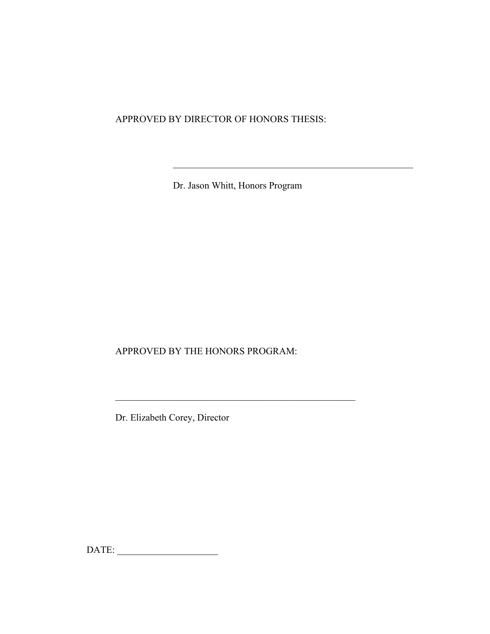APPROVED BY DIRECTOR OF HONORS THESIS:

Dr. Jason Whitt, Honors Program

\_\_\_\_\_\_\_\_\_\_\_\_\_\_\_\_\_\_\_\_\_\_\_\_\_\_\_\_\_\_\_\_\_\_\_\_\_\_\_\_\_\_\_\_\_\_\_\_\_\_

APPROVED BY THE HONORS PROGRAM:

\_\_\_\_\_\_\_\_\_\_\_\_\_\_\_\_\_\_\_\_\_\_\_\_\_\_\_\_\_\_\_\_\_\_\_\_\_\_\_\_\_\_\_\_\_\_\_\_\_\_

Dr. Elizabeth Corey, Director

DATE: \_\_\_\_\_\_\_\_\_\_\_\_\_\_\_\_\_\_\_\_\_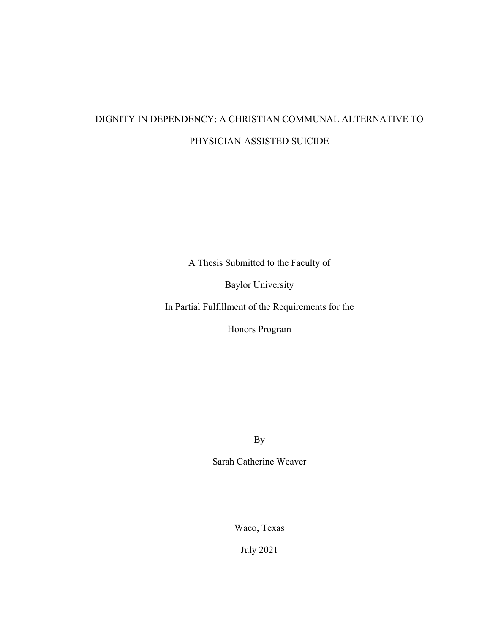# DIGNITY IN DEPENDENCY: A CHRISTIAN COMMUNAL ALTERNATIVE TO PHYSICIAN-ASSISTED SUICIDE

A Thesis Submitted to the Faculty of

Baylor University

In Partial Fulfillment of the Requirements for the

Honors Program

By

Sarah Catherine Weaver

Waco, Texas

July 2021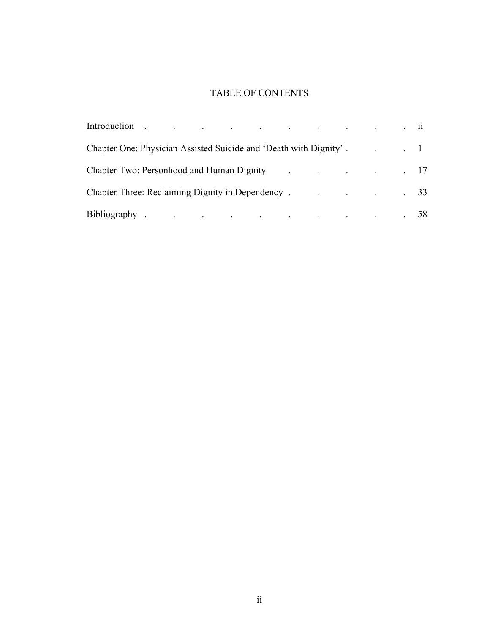# TABLE OF CONTENTS

| Chapter One: Physician Assisted Suicide and 'Death with Dignity'. 1 1                                                                                                                                                          |  |  |  |  |  |  |
|--------------------------------------------------------------------------------------------------------------------------------------------------------------------------------------------------------------------------------|--|--|--|--|--|--|
| Chapter Two: Personhood and Human Dignity (Chapter Two: Personhood and Human Dignity (Chapter 2014)                                                                                                                            |  |  |  |  |  |  |
| Chapter Three: Reclaiming Dignity in Dependency . The contract of the contract of the chapter of the chapter of the chapter of the chapter of the chapter of the chapter of the chapter of the chapter of the chapter of the c |  |  |  |  |  |  |
| Bibliography 58                                                                                                                                                                                                                |  |  |  |  |  |  |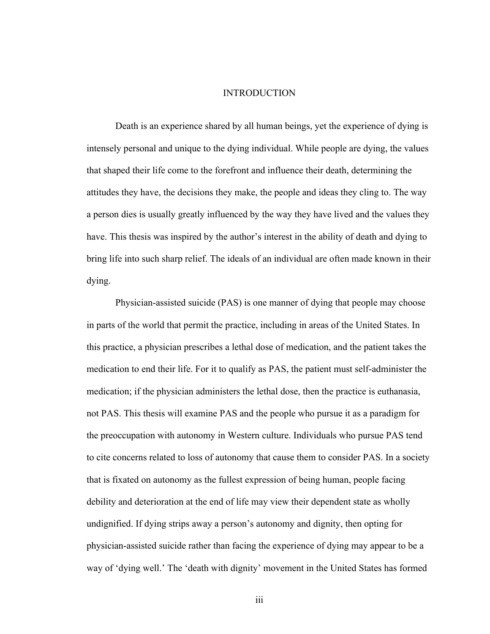#### INTRODUCTION

Death is an experience shared by all human beings, yet the experience of dying is intensely personal and unique to the dying individual. While people are dying, the values that shaped their life come to the forefront and influence their death, determining the attitudes they have, the decisions they make, the people and ideas they cling to. The way a person dies is usually greatly influenced by the way they have lived and the values they have. This thesis was inspired by the author's interest in the ability of death and dying to bring life into such sharp relief. The ideals of an individual are often made known in their dying.

Physician-assisted suicide (PAS) is one manner of dying that people may choose in parts of the world that permit the practice, including in areas of the United States. In this practice, a physician prescribes a lethal dose of medication, and the patient takes the medication to end their life. For it to qualify as PAS, the patient must self-administer the medication; if the physician administers the lethal dose, then the practice is euthanasia, not PAS. This thesis will examine PAS and the people who pursue it as a paradigm for the preoccupation with autonomy in Western culture. Individuals who pursue PAS tend to cite concerns related to loss of autonomy that cause them to consider PAS. In a society that is fixated on autonomy as the fullest expression of being human, people facing debility and deterioration at the end of life may view their dependent state as wholly undignified. If dying strips away a person's autonomy and dignity, then opting for physician-assisted suicide rather than facing the experience of dying may appear to be a way of 'dying well.' The 'death with dignity' movement in the United States has formed

iii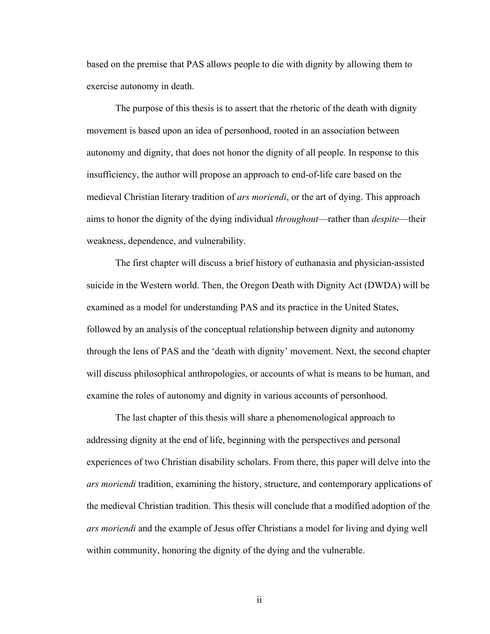based on the premise that PAS allows people to die with dignity by allowing them to exercise autonomy in death.

The purpose of this thesis is to assert that the rhetoric of the death with dignity movement is based upon an idea of personhood, rooted in an association between autonomy and dignity, that does not honor the dignity of all people. In response to this insufficiency, the author will propose an approach to end-of-life care based on the medieval Christian literary tradition of *ars moriendi*, or the art of dying. This approach aims to honor the dignity of the dying individual *throughout*—rather than *despite*—their weakness, dependence, and vulnerability.

The first chapter will discuss a brief history of euthanasia and physician-assisted suicide in the Western world. Then, the Oregon Death with Dignity Act (DWDA) will be examined as a model for understanding PAS and its practice in the United States, followed by an analysis of the conceptual relationship between dignity and autonomy through the lens of PAS and the 'death with dignity' movement. Next, the second chapter will discuss philosophical anthropologies, or accounts of what is means to be human, and examine the roles of autonomy and dignity in various accounts of personhood.

The last chapter of this thesis will share a phenomenological approach to addressing dignity at the end of life, beginning with the perspectives and personal experiences of two Christian disability scholars. From there, this paper will delve into the *ars moriendi* tradition, examining the history, structure, and contemporary applications of the medieval Christian tradition. This thesis will conclude that a modified adoption of the *ars moriendi* and the example of Jesus offer Christians a model for living and dying well within community, honoring the dignity of the dying and the vulnerable.

ii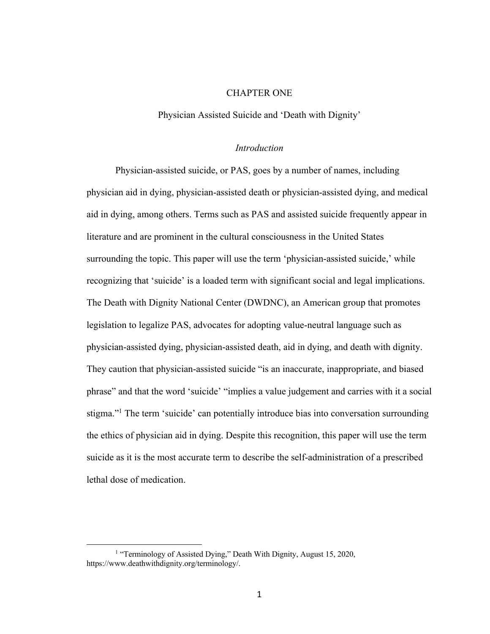#### CHAPTER ONE

Physician Assisted Suicide and 'Death with Dignity'

#### *Introduction*

Physician-assisted suicide, or PAS, goes by a number of names, including physician aid in dying, physician-assisted death or physician-assisted dying, and medical aid in dying, among others. Terms such as PAS and assisted suicide frequently appear in literature and are prominent in the cultural consciousness in the United States surrounding the topic. This paper will use the term 'physician-assisted suicide,' while recognizing that 'suicide' is a loaded term with significant social and legal implications. The Death with Dignity National Center (DWDNC), an American group that promotes legislation to legalize PAS, advocates for adopting value-neutral language such as physician-assisted dying, physician-assisted death, aid in dying, and death with dignity. They caution that physician-assisted suicide "is an inaccurate, inappropriate, and biased phrase" and that the word 'suicide' "implies a value judgement and carries with it a social stigma."1 The term 'suicide' can potentially introduce bias into conversation surrounding the ethics of physician aid in dying. Despite this recognition, this paper will use the term suicide as it is the most accurate term to describe the self-administration of a prescribed lethal dose of medication.

<sup>&</sup>lt;sup>1</sup> "Terminology of Assisted Dying," Death With Dignity, August 15, 2020, https://www.deathwithdignity.org/terminology/.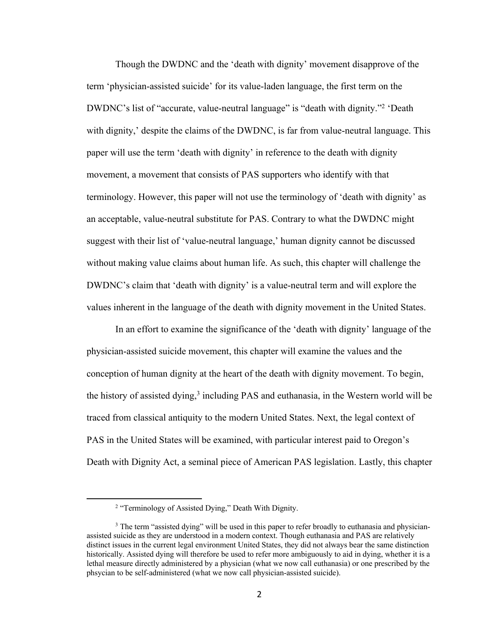Though the DWDNC and the 'death with dignity' movement disapprove of the term 'physician-assisted suicide' for its value-laden language, the first term on the DWDNC's list of "accurate, value-neutral language" is "death with dignity."<sup>2</sup> 'Death with dignity,' despite the claims of the DWDNC, is far from value-neutral language. This paper will use the term 'death with dignity' in reference to the death with dignity movement, a movement that consists of PAS supporters who identify with that terminology. However, this paper will not use the terminology of 'death with dignity' as an acceptable, value-neutral substitute for PAS. Contrary to what the DWDNC might suggest with their list of 'value-neutral language,' human dignity cannot be discussed without making value claims about human life. As such, this chapter will challenge the DWDNC's claim that 'death with dignity' is a value-neutral term and will explore the values inherent in the language of the death with dignity movement in the United States.

In an effort to examine the significance of the 'death with dignity' language of the physician-assisted suicide movement, this chapter will examine the values and the conception of human dignity at the heart of the death with dignity movement. To begin, the history of assisted dying, $3$  including PAS and euthanasia, in the Western world will be traced from classical antiquity to the modern United States. Next, the legal context of PAS in the United States will be examined, with particular interest paid to Oregon's Death with Dignity Act, a seminal piece of American PAS legislation. Lastly, this chapter

<sup>2</sup> "Terminology of Assisted Dying," Death With Dignity.

<sup>&</sup>lt;sup>3</sup> The term "assisted dying" will be used in this paper to refer broadly to euthanasia and physicianassisted suicide as they are understood in a modern context. Though euthanasia and PAS are relatively distinct issues in the current legal environment United States, they did not always bear the same distinction historically. Assisted dying will therefore be used to refer more ambiguously to aid in dying, whether it is a lethal measure directly administered by a physician (what we now call euthanasia) or one prescribed by the phsycian to be self-administered (what we now call physician-assisted suicide).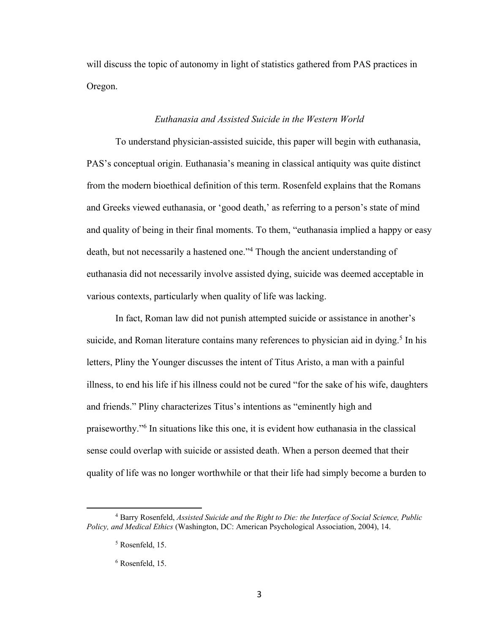will discuss the topic of autonomy in light of statistics gathered from PAS practices in Oregon.

# *Euthanasia and Assisted Suicide in the Western World*

To understand physician-assisted suicide, this paper will begin with euthanasia, PAS's conceptual origin. Euthanasia's meaning in classical antiquity was quite distinct from the modern bioethical definition of this term. Rosenfeld explains that the Romans and Greeks viewed euthanasia, or 'good death,' as referring to a person's state of mind and quality of being in their final moments. To them, "euthanasia implied a happy or easy death, but not necessarily a hastened one."4 Though the ancient understanding of euthanasia did not necessarily involve assisted dying, suicide was deemed acceptable in various contexts, particularly when quality of life was lacking.

In fact, Roman law did not punish attempted suicide or assistance in another's suicide, and Roman literature contains many references to physician aid in dying.<sup>5</sup> In his letters, Pliny the Younger discusses the intent of Titus Aristo, a man with a painful illness, to end his life if his illness could not be cured "for the sake of his wife, daughters and friends." Pliny characterizes Titus's intentions as "eminently high and praiseworthy."6 In situations like this one, it is evident how euthanasia in the classical sense could overlap with suicide or assisted death. When a person deemed that their quality of life was no longer worthwhile or that their life had simply become a burden to

<sup>4</sup> Barry Rosenfeld, *Assisted Suicide and the Right to Die: the Interface of Social Science, Public Policy, and Medical Ethics* (Washington, DC: American Psychological Association, 2004), 14.

<sup>5</sup> Rosenfeld, 15.

<sup>6</sup> Rosenfeld, 15.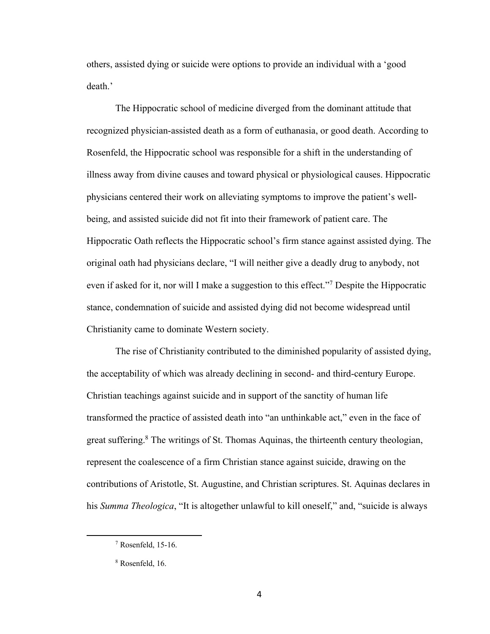others, assisted dying or suicide were options to provide an individual with a 'good death.'

The Hippocratic school of medicine diverged from the dominant attitude that recognized physician-assisted death as a form of euthanasia, or good death. According to Rosenfeld, the Hippocratic school was responsible for a shift in the understanding of illness away from divine causes and toward physical or physiological causes. Hippocratic physicians centered their work on alleviating symptoms to improve the patient's wellbeing, and assisted suicide did not fit into their framework of patient care. The Hippocratic Oath reflects the Hippocratic school's firm stance against assisted dying. The original oath had physicians declare, "I will neither give a deadly drug to anybody, not even if asked for it, nor will I make a suggestion to this effect."7 Despite the Hippocratic stance, condemnation of suicide and assisted dying did not become widespread until Christianity came to dominate Western society.

The rise of Christianity contributed to the diminished popularity of assisted dying, the acceptability of which was already declining in second- and third-century Europe. Christian teachings against suicide and in support of the sanctity of human life transformed the practice of assisted death into "an unthinkable act," even in the face of great suffering.<sup>8</sup> The writings of St. Thomas Aquinas, the thirteenth century theologian, represent the coalescence of a firm Christian stance against suicide, drawing on the contributions of Aristotle, St. Augustine, and Christian scriptures. St. Aquinas declares in his *Summa Theologica*, "It is altogether unlawful to kill oneself," and, "suicide is always

<sup>7</sup> Rosenfeld, 15-16.

<sup>8</sup> Rosenfeld, 16.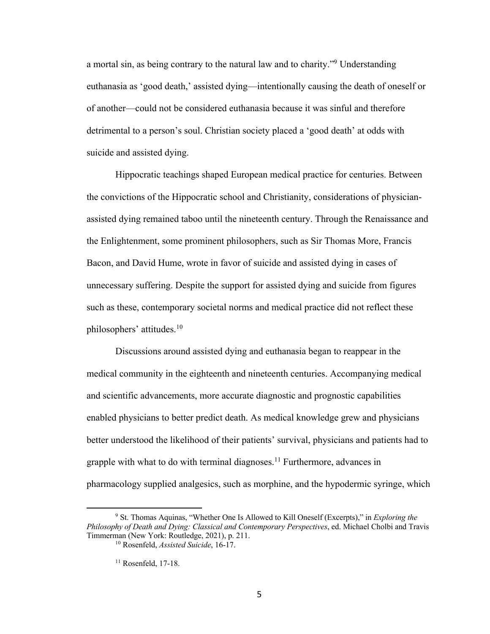a mortal sin, as being contrary to the natural law and to charity."9 Understanding euthanasia as 'good death,' assisted dying—intentionally causing the death of oneself or of another—could not be considered euthanasia because it was sinful and therefore detrimental to a person's soul. Christian society placed a 'good death' at odds with suicide and assisted dying.

Hippocratic teachings shaped European medical practice for centuries. Between the convictions of the Hippocratic school and Christianity, considerations of physicianassisted dying remained taboo until the nineteenth century. Through the Renaissance and the Enlightenment, some prominent philosophers, such as Sir Thomas More, Francis Bacon, and David Hume, wrote in favor of suicide and assisted dying in cases of unnecessary suffering. Despite the support for assisted dying and suicide from figures such as these, contemporary societal norms and medical practice did not reflect these philosophers' attitudes.10

Discussions around assisted dying and euthanasia began to reappear in the medical community in the eighteenth and nineteenth centuries. Accompanying medical and scientific advancements, more accurate diagnostic and prognostic capabilities enabled physicians to better predict death. As medical knowledge grew and physicians better understood the likelihood of their patients' survival, physicians and patients had to grapple with what to do with terminal diagnoses.<sup>11</sup> Furthermore, advances in pharmacology supplied analgesics, such as morphine, and the hypodermic syringe, which

<sup>9</sup> St. Thomas Aquinas, "Whether One Is Allowed to Kill Oneself (Excerpts)," in *Exploring the Philosophy of Death and Dying: Classical and Contemporary Perspectives*, ed. Michael Cholbi and Travis Timmerman (New York: Routledge, 2021), p. 211.

<sup>10</sup> Rosenfeld, *Assisted Suicide*, 16-17.

<sup>&</sup>lt;sup>11</sup> Rosenfeld, 17-18.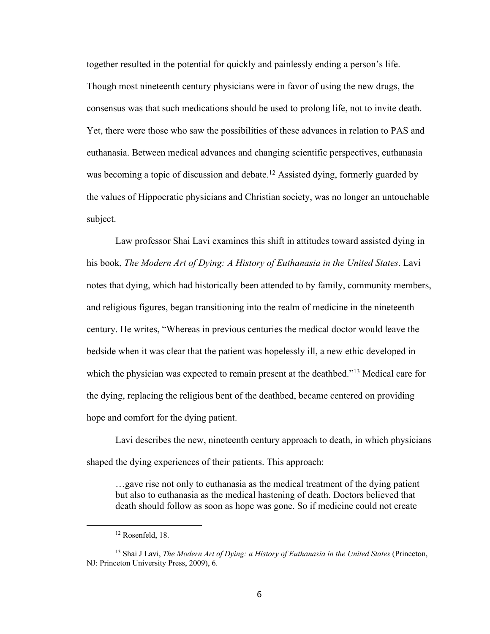together resulted in the potential for quickly and painlessly ending a person's life. Though most nineteenth century physicians were in favor of using the new drugs, the consensus was that such medications should be used to prolong life, not to invite death. Yet, there were those who saw the possibilities of these advances in relation to PAS and euthanasia. Between medical advances and changing scientific perspectives, euthanasia was becoming a topic of discussion and debate.<sup>12</sup> Assisted dying, formerly guarded by the values of Hippocratic physicians and Christian society, was no longer an untouchable subject.

Law professor Shai Lavi examines this shift in attitudes toward assisted dying in his book, *The Modern Art of Dying: A History of Euthanasia in the United States*. Lavi notes that dying, which had historically been attended to by family, community members, and religious figures, began transitioning into the realm of medicine in the nineteenth century. He writes, "Whereas in previous centuries the medical doctor would leave the bedside when it was clear that the patient was hopelessly ill, a new ethic developed in which the physician was expected to remain present at the deathbed."<sup>13</sup> Medical care for the dying, replacing the religious bent of the deathbed, became centered on providing hope and comfort for the dying patient.

Lavi describes the new, nineteenth century approach to death, in which physicians shaped the dying experiences of their patients. This approach:

…gave rise not only to euthanasia as the medical treatment of the dying patient but also to euthanasia as the medical hastening of death. Doctors believed that death should follow as soon as hope was gone. So if medicine could not create

<sup>12</sup> Rosenfeld, 18.

<sup>13</sup> Shai J Lavi, *The Modern Art of Dying: a History of Euthanasia in the United States* (Princeton, NJ: Princeton University Press, 2009), 6.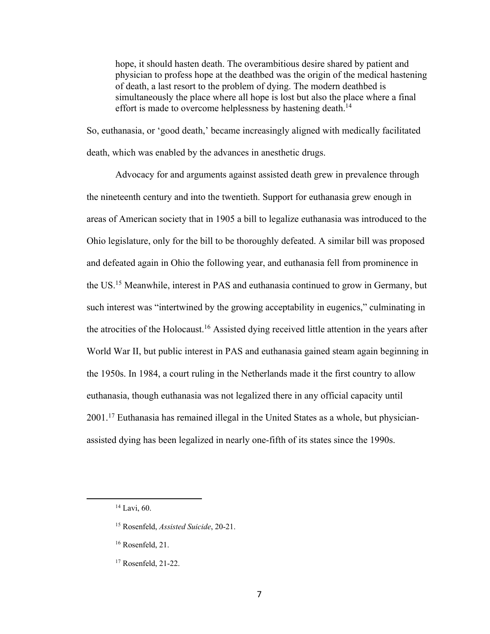hope, it should hasten death. The overambitious desire shared by patient and physician to profess hope at the deathbed was the origin of the medical hastening of death, a last resort to the problem of dying. The modern deathbed is simultaneously the place where all hope is lost but also the place where a final effort is made to overcome helplessness by hastening death.<sup>14</sup>

So, euthanasia, or 'good death,' became increasingly aligned with medically facilitated death, which was enabled by the advances in anesthetic drugs.

Advocacy for and arguments against assisted death grew in prevalence through the nineteenth century and into the twentieth. Support for euthanasia grew enough in areas of American society that in 1905 a bill to legalize euthanasia was introduced to the Ohio legislature, only for the bill to be thoroughly defeated. A similar bill was proposed and defeated again in Ohio the following year, and euthanasia fell from prominence in the US.15 Meanwhile, interest in PAS and euthanasia continued to grow in Germany, but such interest was "intertwined by the growing acceptability in eugenics," culminating in the atrocities of the Holocaust.<sup>16</sup> Assisted dying received little attention in the years after World War II, but public interest in PAS and euthanasia gained steam again beginning in the 1950s. In 1984, a court ruling in the Netherlands made it the first country to allow euthanasia, though euthanasia was not legalized there in any official capacity until  $2001<sup>17</sup>$  Euthanasia has remained illegal in the United States as a whole, but physicianassisted dying has been legalized in nearly one-fifth of its states since the 1990s.

<sup>14</sup> Lavi, 60.

<sup>15</sup> Rosenfeld, *Assisted Suicide*, 20-21.

<sup>16</sup> Rosenfeld, 21.

<sup>17</sup> Rosenfeld, 21-22.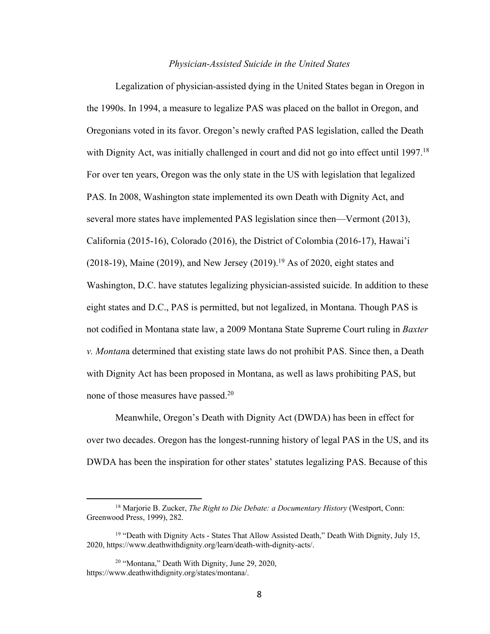#### *Physician-Assisted Suicide in the United States*

Legalization of physician-assisted dying in the United States began in Oregon in the 1990s. In 1994, a measure to legalize PAS was placed on the ballot in Oregon, and Oregonians voted in its favor. Oregon's newly crafted PAS legislation, called the Death with Dignity Act, was initially challenged in court and did not go into effect until 1997.<sup>18</sup> For over ten years, Oregon was the only state in the US with legislation that legalized PAS. In 2008, Washington state implemented its own Death with Dignity Act, and several more states have implemented PAS legislation since then—Vermont (2013), California (2015-16), Colorado (2016), the District of Colombia (2016-17), Hawai'i (2018-19), Maine (2019), and New Jersey (2019).<sup>19</sup> As of 2020, eight states and Washington, D.C. have statutes legalizing physician-assisted suicide. In addition to these eight states and D.C., PAS is permitted, but not legalized, in Montana. Though PAS is not codified in Montana state law, a 2009 Montana State Supreme Court ruling in *Baxter v. Montan*a determined that existing state laws do not prohibit PAS. Since then, a Death with Dignity Act has been proposed in Montana, as well as laws prohibiting PAS, but none of those measures have passed.20

Meanwhile, Oregon's Death with Dignity Act (DWDA) has been in effect for over two decades. Oregon has the longest-running history of legal PAS in the US, and its DWDA has been the inspiration for other states' statutes legalizing PAS. Because of this

<sup>18</sup> Marjorie B. Zucker, *The Right to Die Debate: a Documentary History* (Westport, Conn: Greenwood Press, 1999), 282.

<sup>&</sup>lt;sup>19</sup> "Death with Dignity Acts - States That Allow Assisted Death," Death With Dignity, July 15, 2020, https://www.deathwithdignity.org/learn/death-with-dignity-acts/.

<sup>&</sup>lt;sup>20</sup> "Montana," Death With Dignity, June 29, 2020, https://www.deathwithdignity.org/states/montana/.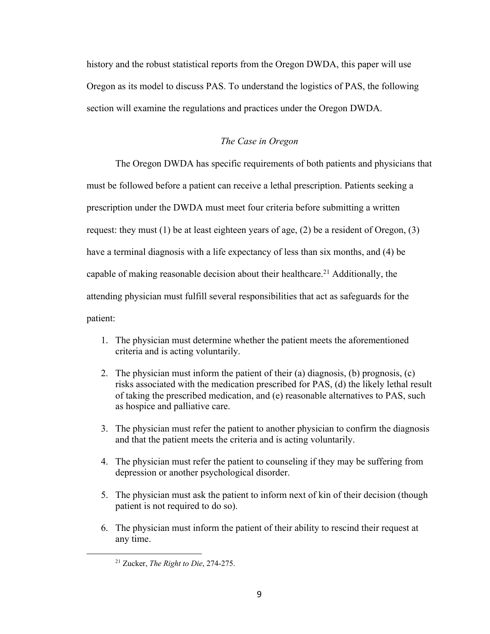history and the robust statistical reports from the Oregon DWDA, this paper will use Oregon as its model to discuss PAS. To understand the logistics of PAS, the following section will examine the regulations and practices under the Oregon DWDA.

### *The Case in Oregon*

The Oregon DWDA has specific requirements of both patients and physicians that must be followed before a patient can receive a lethal prescription. Patients seeking a prescription under the DWDA must meet four criteria before submitting a written request: they must  $(1)$  be at least eighteen years of age,  $(2)$  be a resident of Oregon,  $(3)$ have a terminal diagnosis with a life expectancy of less than six months, and (4) be capable of making reasonable decision about their healthcare.<sup>21</sup> Additionally, the attending physician must fulfill several responsibilities that act as safeguards for the patient:

- 1. The physician must determine whether the patient meets the aforementioned criteria and is acting voluntarily.
- 2. The physician must inform the patient of their (a) diagnosis, (b) prognosis,  $(c)$ risks associated with the medication prescribed for PAS, (d) the likely lethal result of taking the prescribed medication, and (e) reasonable alternatives to PAS, such as hospice and palliative care.
- 3. The physician must refer the patient to another physician to confirm the diagnosis and that the patient meets the criteria and is acting voluntarily.
- 4. The physician must refer the patient to counseling if they may be suffering from depression or another psychological disorder.
- 5. The physician must ask the patient to inform next of kin of their decision (though patient is not required to do so).
- 6. The physician must inform the patient of their ability to rescind their request at any time.

<sup>21</sup> Zucker, *The Right to Die*, 274-275.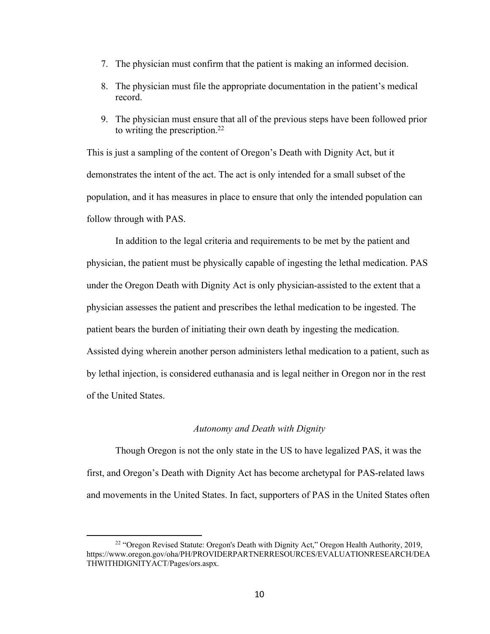- 7. The physician must confirm that the patient is making an informed decision.
- 8. The physician must file the appropriate documentation in the patient's medical record.
- 9. The physician must ensure that all of the previous steps have been followed prior to writing the prescription. $^{22}$

This is just a sampling of the content of Oregon's Death with Dignity Act, but it demonstrates the intent of the act. The act is only intended for a small subset of the population, and it has measures in place to ensure that only the intended population can follow through with PAS.

In addition to the legal criteria and requirements to be met by the patient and physician, the patient must be physically capable of ingesting the lethal medication. PAS under the Oregon Death with Dignity Act is only physician-assisted to the extent that a physician assesses the patient and prescribes the lethal medication to be ingested. The patient bears the burden of initiating their own death by ingesting the medication. Assisted dying wherein another person administers lethal medication to a patient, such as by lethal injection, is considered euthanasia and is legal neither in Oregon nor in the rest of the United States.

#### *Autonomy and Death with Dignity*

Though Oregon is not the only state in the US to have legalized PAS, it was the first, and Oregon's Death with Dignity Act has become archetypal for PAS-related laws and movements in the United States. In fact, supporters of PAS in the United States often

<sup>&</sup>lt;sup>22</sup> "Oregon Revised Statute: Oregon's Death with Dignity Act," Oregon Health Authority, 2019, https://www.oregon.gov/oha/PH/PROVIDERPARTNERRESOURCES/EVALUATIONRESEARCH/DEA THWITHDIGNITYACT/Pages/ors.aspx.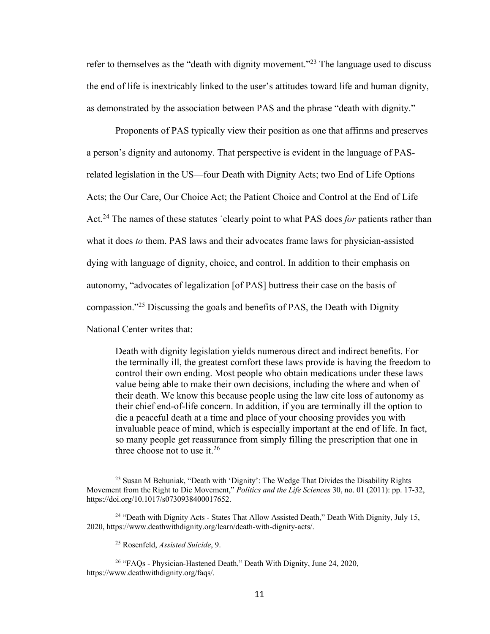refer to themselves as the "death with dignity movement."<sup>23</sup> The language used to discuss the end of life is inextricably linked to the user's attitudes toward life and human dignity, as demonstrated by the association between PAS and the phrase "death with dignity."

Proponents of PAS typically view their position as one that affirms and preserves a person's dignity and autonomy. That perspective is evident in the language of PASrelated legislation in the US—four Death with Dignity Acts; two End of Life Options Acts; the Our Care, Our Choice Act; the Patient Choice and Control at the End of Life Act.24 The names of these statutes ˙clearly point to what PAS does *for* patients rather than what it does *to* them. PAS laws and their advocates frame laws for physician-assisted dying with language of dignity, choice, and control. In addition to their emphasis on autonomy, "advocates of legalization [of PAS] buttress their case on the basis of compassion."25 Discussing the goals and benefits of PAS, the Death with Dignity National Center writes that:

Death with dignity legislation yields numerous direct and indirect benefits. For the terminally ill, the greatest comfort these laws provide is having the freedom to control their own ending. Most people who obtain medications under these laws value being able to make their own decisions, including the where and when of their death. We know this because people using the law cite loss of autonomy as their chief end-of-life concern. In addition, if you are terminally ill the option to die a peaceful death at a time and place of your choosing provides you with invaluable peace of mind, which is especially important at the end of life. In fact, so many people get reassurance from simply filling the prescription that one in three choose not to use it.<sup>26</sup>

<sup>23</sup> Susan M Behuniak, "Death with 'Dignity': The Wedge That Divides the Disability Rights Movement from the Right to Die Movement," *Politics and the Life Sciences* 30, no. 01 (2011): pp. 17-32, https://doi.org/10.1017/s0730938400017652.

 $24$  "Death with Dignity Acts - States That Allow Assisted Death," Death With Dignity, July 15, 2020, https://www.deathwithdignity.org/learn/death-with-dignity-acts/.

<sup>25</sup> Rosenfeld, *Assisted Suicide*, 9.

<sup>26</sup> "FAQs - Physician-Hastened Death," Death With Dignity, June 24, 2020, https://www.deathwithdignity.org/faqs/.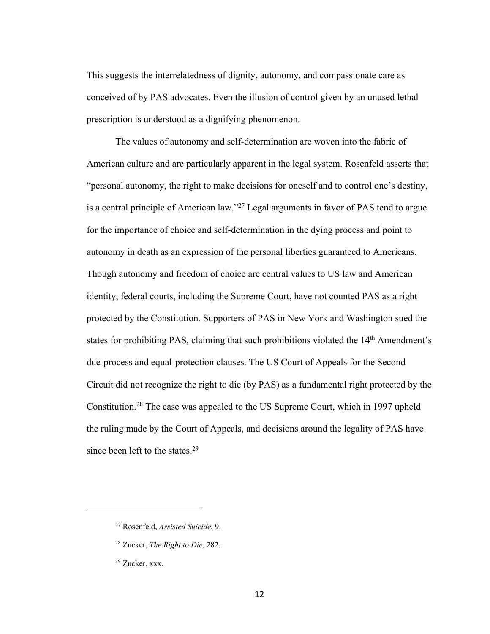This suggests the interrelatedness of dignity, autonomy, and compassionate care as conceived of by PAS advocates. Even the illusion of control given by an unused lethal prescription is understood as a dignifying phenomenon.

The values of autonomy and self-determination are woven into the fabric of American culture and are particularly apparent in the legal system. Rosenfeld asserts that "personal autonomy, the right to make decisions for oneself and to control one's destiny, is a central principle of American law."<sup>27</sup> Legal arguments in favor of PAS tend to argue for the importance of choice and self-determination in the dying process and point to autonomy in death as an expression of the personal liberties guaranteed to Americans. Though autonomy and freedom of choice are central values to US law and American identity, federal courts, including the Supreme Court, have not counted PAS as a right protected by the Constitution. Supporters of PAS in New York and Washington sued the states for prohibiting PAS, claiming that such prohibitions violated the  $14<sup>th</sup>$  Amendment's due-process and equal-protection clauses. The US Court of Appeals for the Second Circuit did not recognize the right to die (by PAS) as a fundamental right protected by the Constitution.28 The case was appealed to the US Supreme Court, which in 1997 upheld the ruling made by the Court of Appeals, and decisions around the legality of PAS have since been left to the states.<sup>29</sup>

<sup>27</sup> Rosenfeld, *Assisted Suicide*, 9.

<sup>28</sup> Zucker, *The Right to Die,* 282.

<sup>29</sup> Zucker, xxx.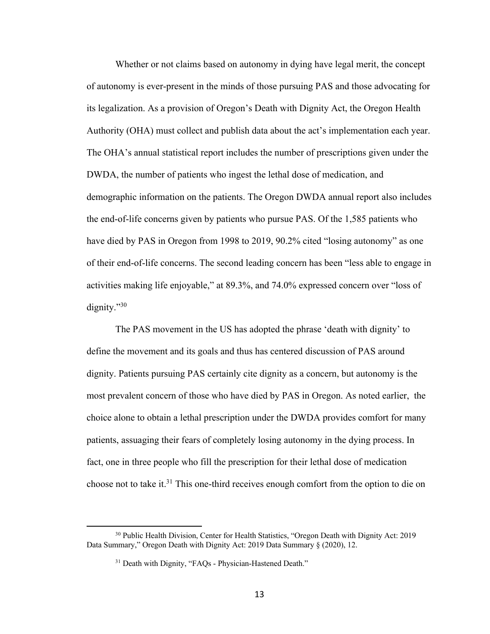Whether or not claims based on autonomy in dying have legal merit, the concept of autonomy is ever-present in the minds of those pursuing PAS and those advocating for its legalization. As a provision of Oregon's Death with Dignity Act, the Oregon Health Authority (OHA) must collect and publish data about the act's implementation each year. The OHA's annual statistical report includes the number of prescriptions given under the DWDA, the number of patients who ingest the lethal dose of medication, and demographic information on the patients. The Oregon DWDA annual report also includes the end-of-life concerns given by patients who pursue PAS. Of the 1,585 patients who have died by PAS in Oregon from 1998 to 2019, 90.2% cited "losing autonomy" as one of their end-of-life concerns. The second leading concern has been "less able to engage in activities making life enjoyable," at 89.3%, and 74.0% expressed concern over "loss of dignity."30

The PAS movement in the US has adopted the phrase 'death with dignity' to define the movement and its goals and thus has centered discussion of PAS around dignity. Patients pursuing PAS certainly cite dignity as a concern, but autonomy is the most prevalent concern of those who have died by PAS in Oregon. As noted earlier, the choice alone to obtain a lethal prescription under the DWDA provides comfort for many patients, assuaging their fears of completely losing autonomy in the dying process. In fact, one in three people who fill the prescription for their lethal dose of medication choose not to take it.31 This one-third receives enough comfort from the option to die on

<sup>30</sup> Public Health Division, Center for Health Statistics, "Oregon Death with Dignity Act: 2019 Data Summary," Oregon Death with Dignity Act: 2019 Data Summary § (2020), 12.

<sup>&</sup>lt;sup>31</sup> Death with Dignity, "FAQs - Physician-Hastened Death."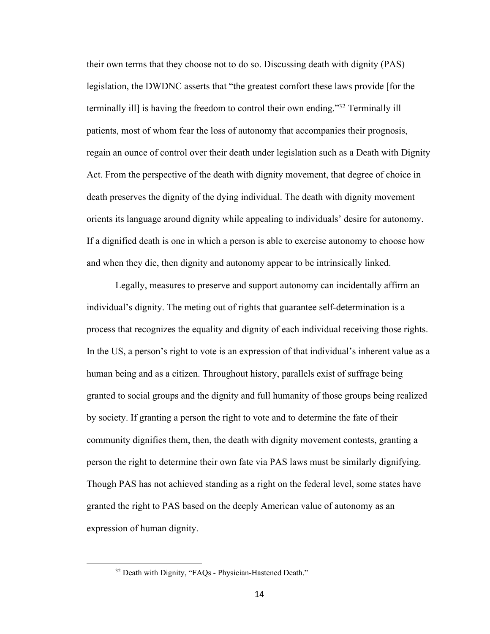their own terms that they choose not to do so. Discussing death with dignity (PAS) legislation, the DWDNC asserts that "the greatest comfort these laws provide [for the terminally ill] is having the freedom to control their own ending."32 Terminally ill patients, most of whom fear the loss of autonomy that accompanies their prognosis, regain an ounce of control over their death under legislation such as a Death with Dignity Act. From the perspective of the death with dignity movement, that degree of choice in death preserves the dignity of the dying individual. The death with dignity movement orients its language around dignity while appealing to individuals' desire for autonomy. If a dignified death is one in which a person is able to exercise autonomy to choose how and when they die, then dignity and autonomy appear to be intrinsically linked.

Legally, measures to preserve and support autonomy can incidentally affirm an individual's dignity. The meting out of rights that guarantee self-determination is a process that recognizes the equality and dignity of each individual receiving those rights. In the US, a person's right to vote is an expression of that individual's inherent value as a human being and as a citizen. Throughout history, parallels exist of suffrage being granted to social groups and the dignity and full humanity of those groups being realized by society. If granting a person the right to vote and to determine the fate of their community dignifies them, then, the death with dignity movement contests, granting a person the right to determine their own fate via PAS laws must be similarly dignifying. Though PAS has not achieved standing as a right on the federal level, some states have granted the right to PAS based on the deeply American value of autonomy as an expression of human dignity.

<sup>&</sup>lt;sup>32</sup> Death with Dignity, "FAQs - Physician-Hastened Death."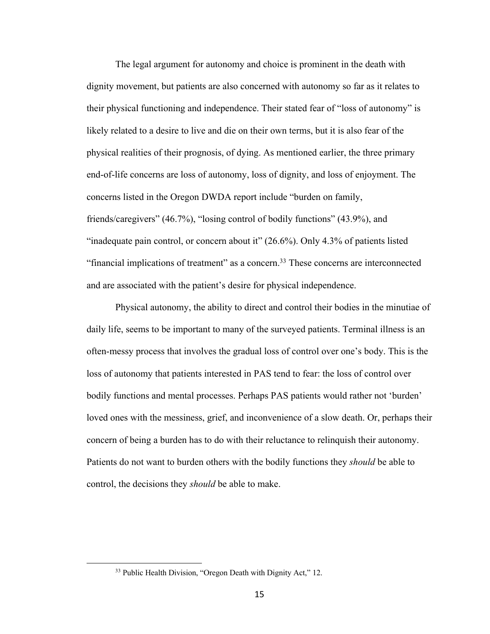The legal argument for autonomy and choice is prominent in the death with dignity movement, but patients are also concerned with autonomy so far as it relates to their physical functioning and independence. Their stated fear of "loss of autonomy" is likely related to a desire to live and die on their own terms, but it is also fear of the physical realities of their prognosis, of dying. As mentioned earlier, the three primary end-of-life concerns are loss of autonomy, loss of dignity, and loss of enjoyment. The concerns listed in the Oregon DWDA report include "burden on family, friends/caregivers" (46.7%), "losing control of bodily functions" (43.9%), and "inadequate pain control, or concern about it" (26.6%). Only 4.3% of patients listed "financial implications of treatment" as a concern.<sup>33</sup> These concerns are interconnected and are associated with the patient's desire for physical independence.

Physical autonomy, the ability to direct and control their bodies in the minutiae of daily life, seems to be important to many of the surveyed patients. Terminal illness is an often-messy process that involves the gradual loss of control over one's body. This is the loss of autonomy that patients interested in PAS tend to fear: the loss of control over bodily functions and mental processes. Perhaps PAS patients would rather not 'burden' loved ones with the messiness, grief, and inconvenience of a slow death. Or, perhaps their concern of being a burden has to do with their reluctance to relinquish their autonomy. Patients do not want to burden others with the bodily functions they *should* be able to control, the decisions they *should* be able to make.

<sup>&</sup>lt;sup>33</sup> Public Health Division, "Oregon Death with Dignity Act," 12.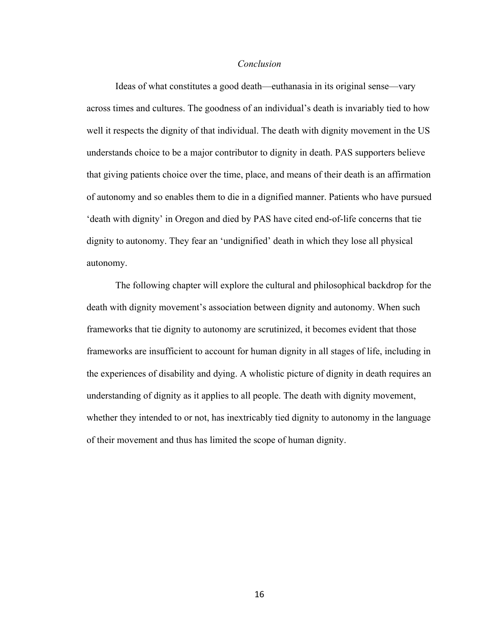#### *Conclusion*

Ideas of what constitutes a good death—euthanasia in its original sense—vary across times and cultures. The goodness of an individual's death is invariably tied to how well it respects the dignity of that individual. The death with dignity movement in the US understands choice to be a major contributor to dignity in death. PAS supporters believe that giving patients choice over the time, place, and means of their death is an affirmation of autonomy and so enables them to die in a dignified manner. Patients who have pursued 'death with dignity' in Oregon and died by PAS have cited end-of-life concerns that tie dignity to autonomy. They fear an 'undignified' death in which they lose all physical autonomy.

The following chapter will explore the cultural and philosophical backdrop for the death with dignity movement's association between dignity and autonomy. When such frameworks that tie dignity to autonomy are scrutinized, it becomes evident that those frameworks are insufficient to account for human dignity in all stages of life, including in the experiences of disability and dying. A wholistic picture of dignity in death requires an understanding of dignity as it applies to all people. The death with dignity movement, whether they intended to or not, has inextricably tied dignity to autonomy in the language of their movement and thus has limited the scope of human dignity.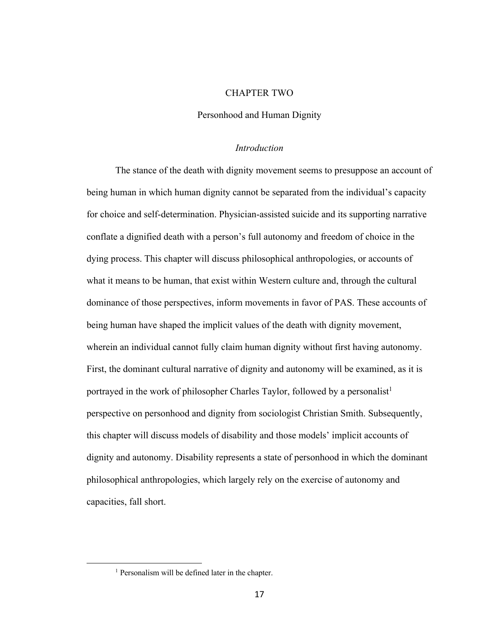#### CHAPTER TWO

#### Personhood and Human Dignity

#### *Introduction*

The stance of the death with dignity movement seems to presuppose an account of being human in which human dignity cannot be separated from the individual's capacity for choice and self-determination. Physician-assisted suicide and its supporting narrative conflate a dignified death with a person's full autonomy and freedom of choice in the dying process. This chapter will discuss philosophical anthropologies, or accounts of what it means to be human, that exist within Western culture and, through the cultural dominance of those perspectives, inform movements in favor of PAS. These accounts of being human have shaped the implicit values of the death with dignity movement, wherein an individual cannot fully claim human dignity without first having autonomy. First, the dominant cultural narrative of dignity and autonomy will be examined, as it is portrayed in the work of philosopher Charles Taylor, followed by a personalist<sup>1</sup> perspective on personhood and dignity from sociologist Christian Smith. Subsequently, this chapter will discuss models of disability and those models' implicit accounts of dignity and autonomy. Disability represents a state of personhood in which the dominant philosophical anthropologies, which largely rely on the exercise of autonomy and capacities, fall short.

<sup>&</sup>lt;sup>1</sup> Personalism will be defined later in the chapter.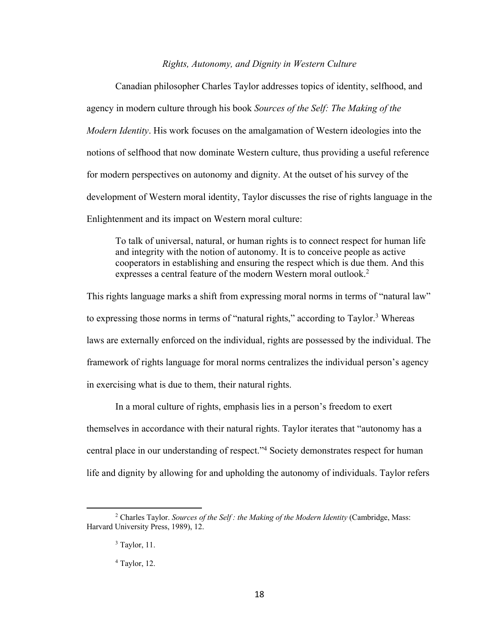#### *Rights, Autonomy, and Dignity in Western Culture*

Canadian philosopher Charles Taylor addresses topics of identity, selfhood, and agency in modern culture through his book *Sources of the Self: The Making of the Modern Identity*. His work focuses on the amalgamation of Western ideologies into the notions of selfhood that now dominate Western culture, thus providing a useful reference for modern perspectives on autonomy and dignity. At the outset of his survey of the development of Western moral identity, Taylor discusses the rise of rights language in the Enlightenment and its impact on Western moral culture:

To talk of universal, natural, or human rights is to connect respect for human life and integrity with the notion of autonomy. It is to conceive people as active cooperators in establishing and ensuring the respect which is due them. And this expresses a central feature of the modern Western moral outlook.<sup>2</sup>

This rights language marks a shift from expressing moral norms in terms of "natural law" to expressing those norms in terms of "natural rights," according to Taylor.<sup>3</sup> Whereas laws are externally enforced on the individual, rights are possessed by the individual. The framework of rights language for moral norms centralizes the individual person's agency in exercising what is due to them, their natural rights.

In a moral culture of rights, emphasis lies in a person's freedom to exert themselves in accordance with their natural rights. Taylor iterates that "autonomy has a central place in our understanding of respect."4 Society demonstrates respect for human life and dignity by allowing for and upholding the autonomy of individuals. Taylor refers

<sup>2</sup> Charles Taylor. *Sources of the Self : the Making of the Modern Identity* (Cambridge, Mass: Harvard University Press, 1989), 12.

<sup>3</sup> Taylor, 11.

<sup>4</sup> Taylor, 12.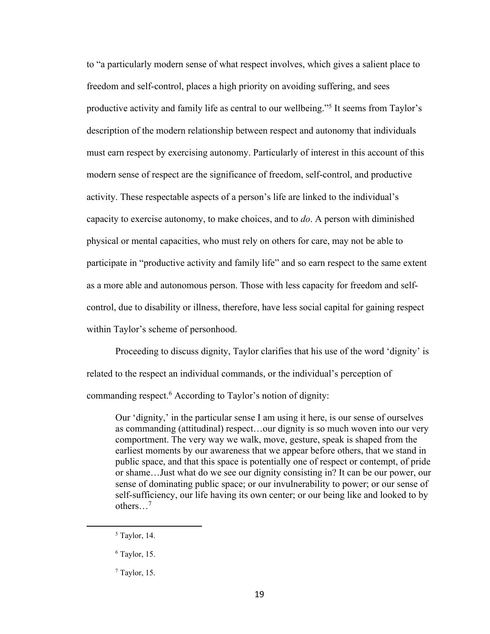to "a particularly modern sense of what respect involves, which gives a salient place to freedom and self-control, places a high priority on avoiding suffering, and sees productive activity and family life as central to our wellbeing."5 It seems from Taylor's description of the modern relationship between respect and autonomy that individuals must earn respect by exercising autonomy. Particularly of interest in this account of this modern sense of respect are the significance of freedom, self-control, and productive activity. These respectable aspects of a person's life are linked to the individual's capacity to exercise autonomy, to make choices, and to *do*. A person with diminished physical or mental capacities, who must rely on others for care, may not be able to participate in "productive activity and family life" and so earn respect to the same extent as a more able and autonomous person. Those with less capacity for freedom and selfcontrol, due to disability or illness, therefore, have less social capital for gaining respect within Taylor's scheme of personhood.

Proceeding to discuss dignity, Taylor clarifies that his use of the word 'dignity' is related to the respect an individual commands, or the individual's perception of commanding respect.6 According to Taylor's notion of dignity:

Our 'dignity,' in the particular sense I am using it here, is our sense of ourselves as commanding (attitudinal) respect…our dignity is so much woven into our very comportment. The very way we walk, move, gesture, speak is shaped from the earliest moments by our awareness that we appear before others, that we stand in public space, and that this space is potentially one of respect or contempt, of pride or shame…Just what do we see our dignity consisting in? It can be our power, our sense of dominating public space; or our invulnerability to power; or our sense of self-sufficiency, our life having its own center; or our being like and looked to by others…7

 $<sup>5</sup>$  Taylor, 14.</sup>

<sup>6</sup> Taylor, 15.

<sup>7</sup> Taylor, 15.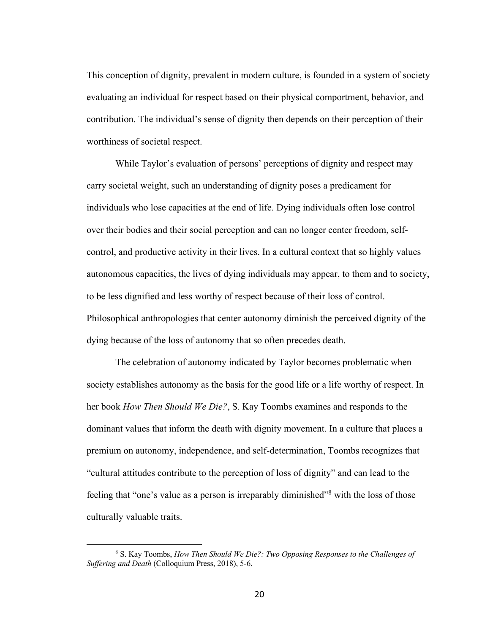This conception of dignity, prevalent in modern culture, is founded in a system of society evaluating an individual for respect based on their physical comportment, behavior, and contribution. The individual's sense of dignity then depends on their perception of their worthiness of societal respect.

While Taylor's evaluation of persons' perceptions of dignity and respect may carry societal weight, such an understanding of dignity poses a predicament for individuals who lose capacities at the end of life. Dying individuals often lose control over their bodies and their social perception and can no longer center freedom, selfcontrol, and productive activity in their lives. In a cultural context that so highly values autonomous capacities, the lives of dying individuals may appear, to them and to society, to be less dignified and less worthy of respect because of their loss of control. Philosophical anthropologies that center autonomy diminish the perceived dignity of the dying because of the loss of autonomy that so often precedes death.

The celebration of autonomy indicated by Taylor becomes problematic when society establishes autonomy as the basis for the good life or a life worthy of respect. In her book *How Then Should We Die?*, S. Kay Toombs examines and responds to the dominant values that inform the death with dignity movement. In a culture that places a premium on autonomy, independence, and self-determination, Toombs recognizes that "cultural attitudes contribute to the perception of loss of dignity" and can lead to the feeling that "one's value as a person is irreparably diminished"<sup>8</sup> with the loss of those culturally valuable traits.

<sup>8</sup> S. Kay Toombs, *How Then Should We Die?: Two Opposing Responses to the Challenges of Suffering and Death* (Colloquium Press, 2018), 5-6.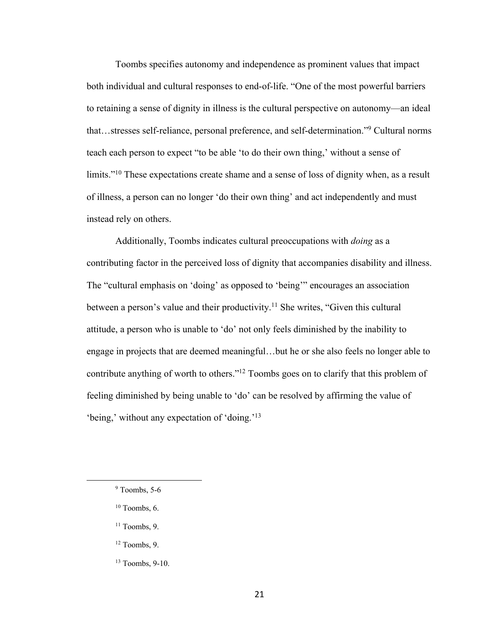Toombs specifies autonomy and independence as prominent values that impact both individual and cultural responses to end-of-life. "One of the most powerful barriers to retaining a sense of dignity in illness is the cultural perspective on autonomy—an ideal that…stresses self-reliance, personal preference, and self-determination."9 Cultural norms teach each person to expect "to be able 'to do their own thing,' without a sense of limits."<sup>10</sup> These expectations create shame and a sense of loss of dignity when, as a result of illness, a person can no longer 'do their own thing' and act independently and must instead rely on others.

Additionally, Toombs indicates cultural preoccupations with *doing* as a contributing factor in the perceived loss of dignity that accompanies disability and illness. The "cultural emphasis on 'doing' as opposed to 'being'" encourages an association between a person's value and their productivity.<sup>11</sup> She writes, "Given this cultural attitude, a person who is unable to 'do' not only feels diminished by the inability to engage in projects that are deemed meaningful…but he or she also feels no longer able to contribute anything of worth to others."12 Toombs goes on to clarify that this problem of feeling diminished by being unable to 'do' can be resolved by affirming the value of 'being,' without any expectation of 'doing.'13

- $10$  Toombs, 6.
- $11$  Toombs, 9.
- <sup>12</sup> Toombs, 9.
- <sup>13</sup> Toombs, 9-10.

 $9$  Toombs, 5-6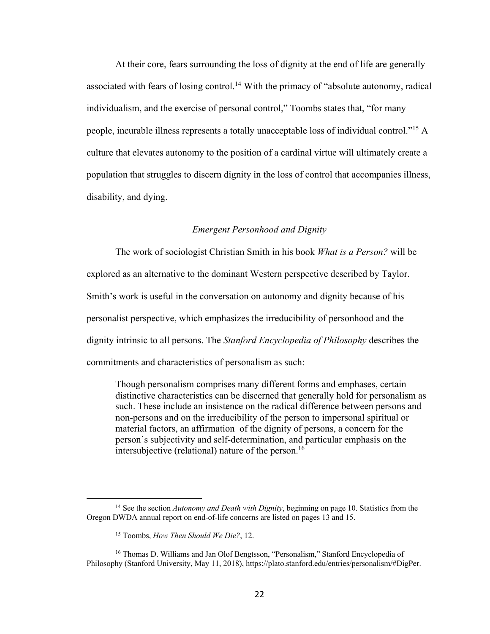At their core, fears surrounding the loss of dignity at the end of life are generally associated with fears of losing control.<sup>14</sup> With the primacy of "absolute autonomy, radical individualism, and the exercise of personal control," Toombs states that, "for many people, incurable illness represents a totally unacceptable loss of individual control."15 A culture that elevates autonomy to the position of a cardinal virtue will ultimately create a population that struggles to discern dignity in the loss of control that accompanies illness, disability, and dying.

### *Emergent Personhood and Dignity*

The work of sociologist Christian Smith in his book *What is a Person?* will be explored as an alternative to the dominant Western perspective described by Taylor. Smith's work is useful in the conversation on autonomy and dignity because of his personalist perspective, which emphasizes the irreducibility of personhood and the dignity intrinsic to all persons. The *Stanford Encyclopedia of Philosophy* describes the commitments and characteristics of personalism as such:

Though personalism comprises many different forms and emphases, certain distinctive characteristics can be discerned that generally hold for personalism as such. These include an insistence on the radical difference between persons and non-persons and on the irreducibility of the person to impersonal spiritual or material factors, an affirmation of the dignity of persons, a concern for the person's subjectivity and self-determination, and particular emphasis on the intersubjective (relational) nature of the person.<sup>16</sup>

<sup>14</sup> See the section *Autonomy and Death with Dignity*, beginning on page 10. Statistics from the Oregon DWDA annual report on end-of-life concerns are listed on pages 13 and 15.

<sup>15</sup> Toombs, *How Then Should We Die?*, 12.

<sup>16</sup> Thomas D. Williams and Jan Olof Bengtsson, "Personalism," Stanford Encyclopedia of Philosophy (Stanford University, May 11, 2018), https://plato.stanford.edu/entries/personalism/#DigPer.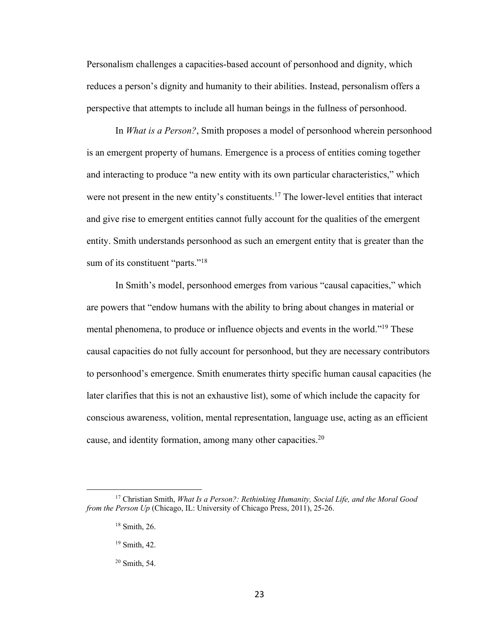Personalism challenges a capacities-based account of personhood and dignity, which reduces a person's dignity and humanity to their abilities. Instead, personalism offers a perspective that attempts to include all human beings in the fullness of personhood.

In *What is a Person?*, Smith proposes a model of personhood wherein personhood is an emergent property of humans. Emergence is a process of entities coming together and interacting to produce "a new entity with its own particular characteristics," which were not present in the new entity's constituents.<sup>17</sup> The lower-level entities that interact and give rise to emergent entities cannot fully account for the qualities of the emergent entity. Smith understands personhood as such an emergent entity that is greater than the sum of its constituent "parts."<sup>18</sup>

In Smith's model, personhood emerges from various "causal capacities," which are powers that "endow humans with the ability to bring about changes in material or mental phenomena, to produce or influence objects and events in the world."19 These causal capacities do not fully account for personhood, but they are necessary contributors to personhood's emergence. Smith enumerates thirty specific human causal capacities (he later clarifies that this is not an exhaustive list), some of which include the capacity for conscious awareness, volition, mental representation, language use, acting as an efficient cause, and identity formation, among many other capacities.<sup>20</sup>

<sup>17</sup> Christian Smith, *What Is a Person?: Rethinking Humanity, Social Life, and the Moral Good from the Person Up* (Chicago, IL: University of Chicago Press, 2011), 25-26.

<sup>18</sup> Smith, 26.

<sup>19</sup> Smith, 42.

<sup>20</sup> Smith, 54.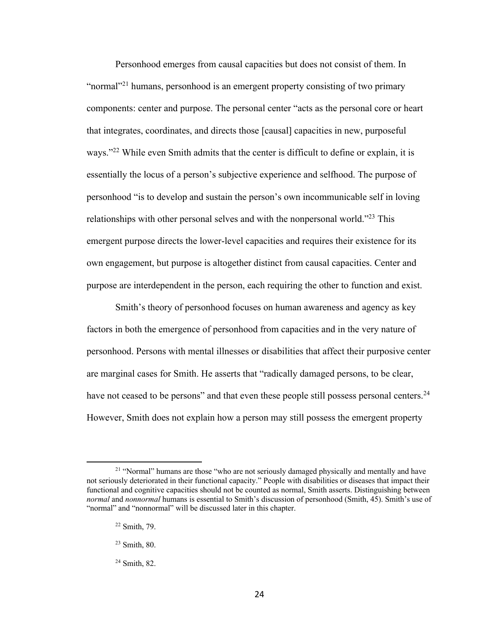Personhood emerges from causal capacities but does not consist of them. In "normal"<sup>21</sup> humans, personhood is an emergent property consisting of two primary components: center and purpose. The personal center "acts as the personal core or heart that integrates, coordinates, and directs those [causal] capacities in new, purposeful ways."<sup>22</sup> While even Smith admits that the center is difficult to define or explain, it is essentially the locus of a person's subjective experience and selfhood. The purpose of personhood "is to develop and sustain the person's own incommunicable self in loving relationships with other personal selves and with the nonpersonal world."23 This emergent purpose directs the lower-level capacities and requires their existence for its own engagement, but purpose is altogether distinct from causal capacities. Center and purpose are interdependent in the person, each requiring the other to function and exist.

Smith's theory of personhood focuses on human awareness and agency as key factors in both the emergence of personhood from capacities and in the very nature of personhood. Persons with mental illnesses or disabilities that affect their purposive center are marginal cases for Smith. He asserts that "radically damaged persons, to be clear, have not ceased to be persons" and that even these people still possess personal centers.<sup>24</sup> However, Smith does not explain how a person may still possess the emergent property

 $21$  "Normal" humans are those "who are not seriously damaged physically and mentally and have not seriously deteriorated in their functional capacity." People with disabilities or diseases that impact their functional and cognitive capacities should not be counted as normal, Smith asserts. Distinguishing between *normal* and *nonnormal* humans is essential to Smith's discussion of personhood (Smith, 45). Smith's use of "normal" and "nonnormal" will be discussed later in this chapter.

 $22$  Smith, 79.

<sup>23</sup> Smith, 80.

<sup>24</sup> Smith, 82.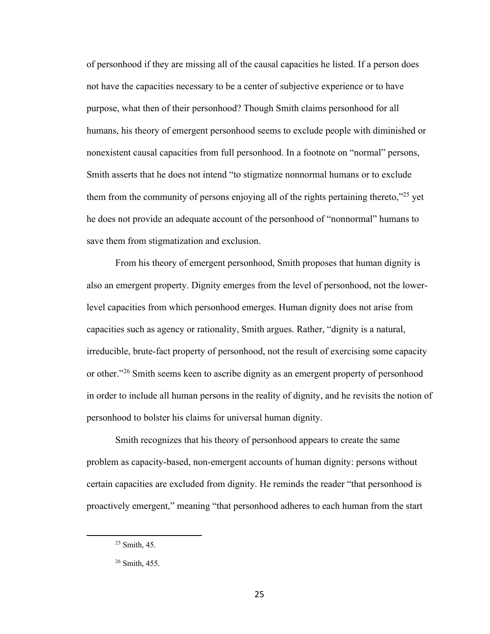of personhood if they are missing all of the causal capacities he listed. If a person does not have the capacities necessary to be a center of subjective experience or to have purpose, what then of their personhood? Though Smith claims personhood for all humans, his theory of emergent personhood seems to exclude people with diminished or nonexistent causal capacities from full personhood. In a footnote on "normal" persons, Smith asserts that he does not intend "to stigmatize nonnormal humans or to exclude them from the community of persons enjoying all of the rights pertaining thereto,"<sup>25</sup> yet he does not provide an adequate account of the personhood of "nonnormal" humans to save them from stigmatization and exclusion.

From his theory of emergent personhood, Smith proposes that human dignity is also an emergent property. Dignity emerges from the level of personhood, not the lowerlevel capacities from which personhood emerges. Human dignity does not arise from capacities such as agency or rationality, Smith argues. Rather, "dignity is a natural, irreducible, brute-fact property of personhood, not the result of exercising some capacity or other."26 Smith seems keen to ascribe dignity as an emergent property of personhood in order to include all human persons in the reality of dignity, and he revisits the notion of personhood to bolster his claims for universal human dignity.

Smith recognizes that his theory of personhood appears to create the same problem as capacity-based, non-emergent accounts of human dignity: persons without certain capacities are excluded from dignity. He reminds the reader "that personhood is proactively emergent," meaning "that personhood adheres to each human from the start

<sup>25</sup> Smith, 45.

<sup>26</sup> Smith, 455.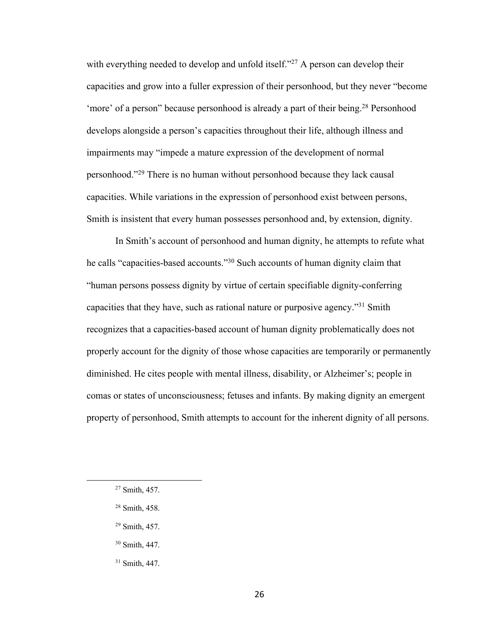with everything needed to develop and unfold itself."<sup>27</sup> A person can develop their capacities and grow into a fuller expression of their personhood, but they never "become 'more' of a person'' because personhood is already a part of their being.<sup>28</sup> Personhood develops alongside a person's capacities throughout their life, although illness and impairments may "impede a mature expression of the development of normal personhood."29 There is no human without personhood because they lack causal capacities. While variations in the expression of personhood exist between persons, Smith is insistent that every human possesses personhood and, by extension, dignity.

In Smith's account of personhood and human dignity, he attempts to refute what he calls "capacities-based accounts."30 Such accounts of human dignity claim that "human persons possess dignity by virtue of certain specifiable dignity-conferring capacities that they have, such as rational nature or purposive agency."31 Smith recognizes that a capacities-based account of human dignity problematically does not properly account for the dignity of those whose capacities are temporarily or permanently diminished. He cites people with mental illness, disability, or Alzheimer's; people in comas or states of unconsciousness; fetuses and infants. By making dignity an emergent property of personhood, Smith attempts to account for the inherent dignity of all persons.

<sup>27</sup> Smith, 457.

<sup>28</sup> Smith, 458.

<sup>29</sup> Smith, 457.

<sup>30</sup> Smith, 447.

<sup>31</sup> Smith, 447.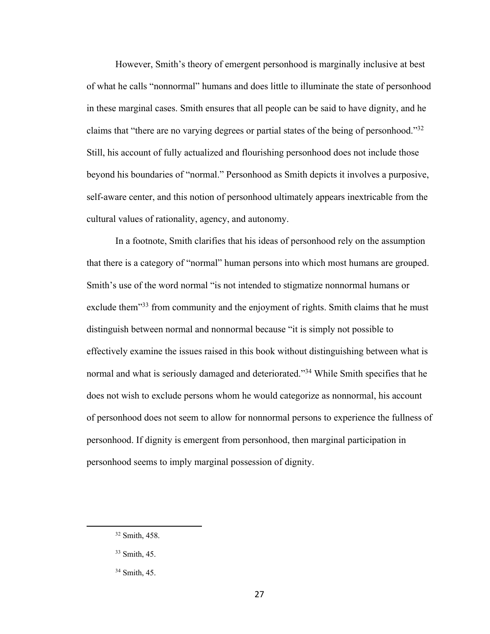However, Smith's theory of emergent personhood is marginally inclusive at best of what he calls "nonnormal" humans and does little to illuminate the state of personhood in these marginal cases. Smith ensures that all people can be said to have dignity, and he claims that "there are no varying degrees or partial states of the being of personhood."32 Still, his account of fully actualized and flourishing personhood does not include those beyond his boundaries of "normal." Personhood as Smith depicts it involves a purposive, self-aware center, and this notion of personhood ultimately appears inextricable from the cultural values of rationality, agency, and autonomy.

In a footnote, Smith clarifies that his ideas of personhood rely on the assumption that there is a category of "normal" human persons into which most humans are grouped. Smith's use of the word normal "is not intended to stigmatize nonnormal humans or exclude them"<sup>33</sup> from community and the enjoyment of rights. Smith claims that he must distinguish between normal and nonnormal because "it is simply not possible to effectively examine the issues raised in this book without distinguishing between what is normal and what is seriously damaged and deteriorated."<sup>34</sup> While Smith specifies that he does not wish to exclude persons whom he would categorize as nonnormal, his account of personhood does not seem to allow for nonnormal persons to experience the fullness of personhood. If dignity is emergent from personhood, then marginal participation in personhood seems to imply marginal possession of dignity.

<sup>32</sup> Smith, 458.

<sup>33</sup> Smith, 45.

<sup>34</sup> Smith, 45.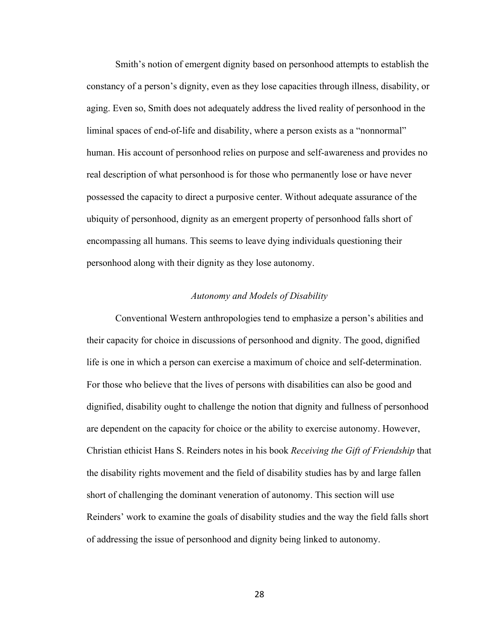Smith's notion of emergent dignity based on personhood attempts to establish the constancy of a person's dignity, even as they lose capacities through illness, disability, or aging. Even so, Smith does not adequately address the lived reality of personhood in the liminal spaces of end-of-life and disability, where a person exists as a "nonnormal" human. His account of personhood relies on purpose and self-awareness and provides no real description of what personhood is for those who permanently lose or have never possessed the capacity to direct a purposive center. Without adequate assurance of the ubiquity of personhood, dignity as an emergent property of personhood falls short of encompassing all humans. This seems to leave dying individuals questioning their personhood along with their dignity as they lose autonomy.

#### *Autonomy and Models of Disability*

Conventional Western anthropologies tend to emphasize a person's abilities and their capacity for choice in discussions of personhood and dignity. The good, dignified life is one in which a person can exercise a maximum of choice and self-determination. For those who believe that the lives of persons with disabilities can also be good and dignified, disability ought to challenge the notion that dignity and fullness of personhood are dependent on the capacity for choice or the ability to exercise autonomy. However, Christian ethicist Hans S. Reinders notes in his book *Receiving the Gift of Friendship* that the disability rights movement and the field of disability studies has by and large fallen short of challenging the dominant veneration of autonomy. This section will use Reinders' work to examine the goals of disability studies and the way the field falls short of addressing the issue of personhood and dignity being linked to autonomy.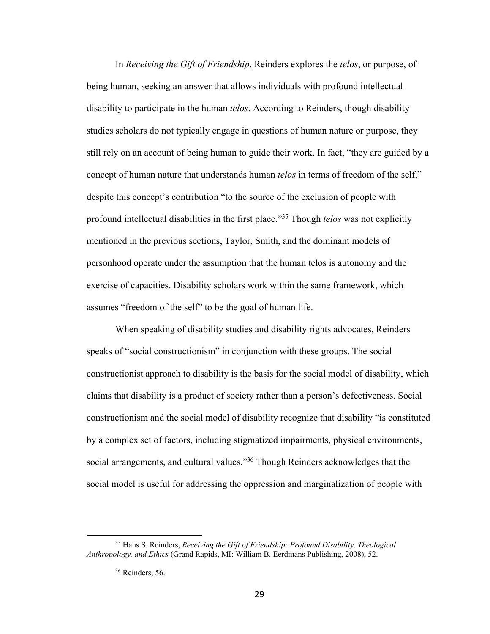In *Receiving the Gift of Friendship*, Reinders explores the *telos*, or purpose, of being human, seeking an answer that allows individuals with profound intellectual disability to participate in the human *telos*. According to Reinders, though disability studies scholars do not typically engage in questions of human nature or purpose, they still rely on an account of being human to guide their work. In fact, "they are guided by a concept of human nature that understands human *telos* in terms of freedom of the self," despite this concept's contribution "to the source of the exclusion of people with profound intellectual disabilities in the first place."35 Though *telos* was not explicitly mentioned in the previous sections, Taylor, Smith, and the dominant models of personhood operate under the assumption that the human telos is autonomy and the exercise of capacities. Disability scholars work within the same framework, which assumes "freedom of the self" to be the goal of human life.

When speaking of disability studies and disability rights advocates, Reinders speaks of "social constructionism" in conjunction with these groups. The social constructionist approach to disability is the basis for the social model of disability, which claims that disability is a product of society rather than a person's defectiveness. Social constructionism and the social model of disability recognize that disability "is constituted by a complex set of factors, including stigmatized impairments, physical environments, social arrangements, and cultural values."<sup>36</sup> Though Reinders acknowledges that the social model is useful for addressing the oppression and marginalization of people with

<sup>35</sup> Hans S. Reinders, *Receiving the Gift of Friendship: Profound Disability, Theological Anthropology, and Ethics* (Grand Rapids, MI: William B. Eerdmans Publishing, 2008), 52.

<sup>&</sup>lt;sup>36</sup> Reinders, 56.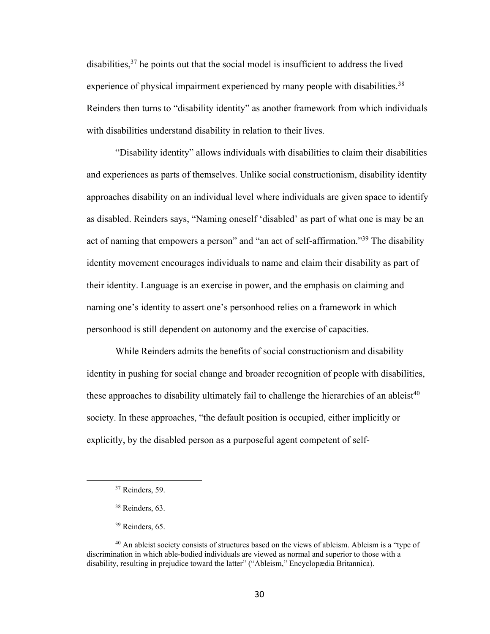disabilities,  $37$  he points out that the social model is insufficient to address the lived experience of physical impairment experienced by many people with disabilities.<sup>38</sup> Reinders then turns to "disability identity" as another framework from which individuals with disabilities understand disability in relation to their lives.

"Disability identity" allows individuals with disabilities to claim their disabilities and experiences as parts of themselves. Unlike social constructionism, disability identity approaches disability on an individual level where individuals are given space to identify as disabled. Reinders says, "Naming oneself 'disabled' as part of what one is may be an act of naming that empowers a person" and "an act of self-affirmation."<sup>39</sup> The disability identity movement encourages individuals to name and claim their disability as part of their identity. Language is an exercise in power, and the emphasis on claiming and naming one's identity to assert one's personhood relies on a framework in which personhood is still dependent on autonomy and the exercise of capacities.

While Reinders admits the benefits of social constructionism and disability identity in pushing for social change and broader recognition of people with disabilities, these approaches to disability ultimately fail to challenge the hierarchies of an ableist<sup>40</sup> society. In these approaches, "the default position is occupied, either implicitly or explicitly, by the disabled person as a purposeful agent competent of self-

<sup>&</sup>lt;sup>37</sup> Reinders, 59.

<sup>&</sup>lt;sup>38</sup> Reinders, 63.

<sup>&</sup>lt;sup>39</sup> Reinders, 65.

<sup>40</sup> An ableist society consists of structures based on the views of ableism. Ableism is a "type of discrimination in which able-bodied individuals are viewed as normal and superior to those with a disability, resulting in prejudice toward the latter" ("Ableism," Encyclopædia Britannica).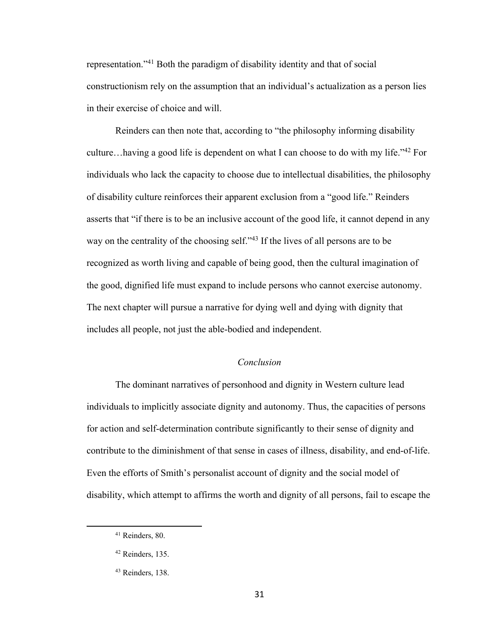representation."41 Both the paradigm of disability identity and that of social constructionism rely on the assumption that an individual's actualization as a person lies in their exercise of choice and will.

Reinders can then note that, according to "the philosophy informing disability culture…having a good life is dependent on what I can choose to do with my life."42 For individuals who lack the capacity to choose due to intellectual disabilities, the philosophy of disability culture reinforces their apparent exclusion from a "good life." Reinders asserts that "if there is to be an inclusive account of the good life, it cannot depend in any way on the centrality of the choosing self."43 If the lives of all persons are to be recognized as worth living and capable of being good, then the cultural imagination of the good, dignified life must expand to include persons who cannot exercise autonomy. The next chapter will pursue a narrative for dying well and dying with dignity that includes all people, not just the able-bodied and independent.

# *Conclusion*

The dominant narratives of personhood and dignity in Western culture lead individuals to implicitly associate dignity and autonomy. Thus, the capacities of persons for action and self-determination contribute significantly to their sense of dignity and contribute to the diminishment of that sense in cases of illness, disability, and end-of-life. Even the efforts of Smith's personalist account of dignity and the social model of disability, which attempt to affirms the worth and dignity of all persons, fail to escape the

<sup>41</sup> Reinders, 80.

<sup>42</sup> Reinders, 135.

<sup>43</sup> Reinders, 138.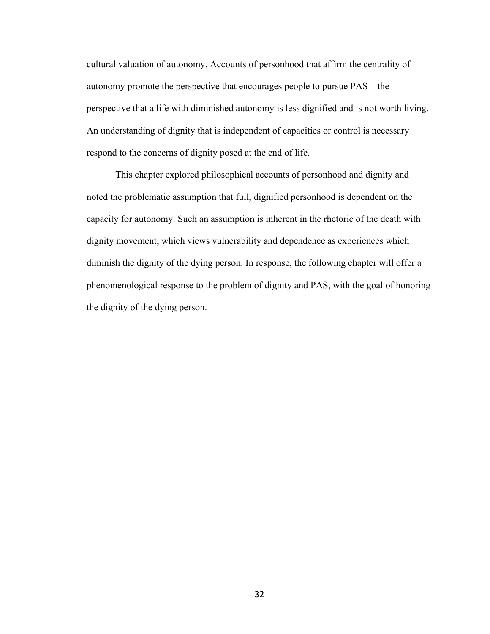cultural valuation of autonomy. Accounts of personhood that affirm the centrality of autonomy promote the perspective that encourages people to pursue PAS—the perspective that a life with diminished autonomy is less dignified and is not worth living. An understanding of dignity that is independent of capacities or control is necessary respond to the concerns of dignity posed at the end of life.

This chapter explored philosophical accounts of personhood and dignity and noted the problematic assumption that full, dignified personhood is dependent on the capacity for autonomy. Such an assumption is inherent in the rhetoric of the death with dignity movement, which views vulnerability and dependence as experiences which diminish the dignity of the dying person. In response, the following chapter will offer a phenomenological response to the problem of dignity and PAS, with the goal of honoring the dignity of the dying person.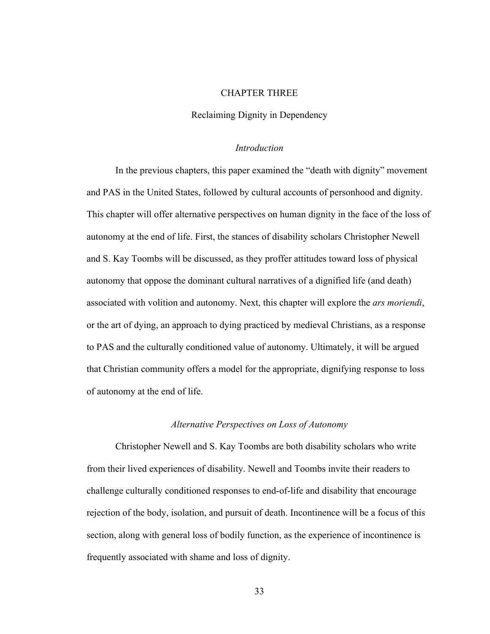#### CHAPTER THREE

#### Reclaiming Dignity in Dependency

#### *Introduction*

In the previous chapters, this paper examined the "death with dignity" movement and PAS in the United States, followed by cultural accounts of personhood and dignity. This chapter will offer alternative perspectives on human dignity in the face of the loss of autonomy at the end of life. First, the stances of disability scholars Christopher Newell and S. Kay Toombs will be discussed, as they proffer attitudes toward loss of physical autonomy that oppose the dominant cultural narratives of a dignified life (and death) associated with volition and autonomy. Next, this chapter will explore the *ars moriendi*, or the art of dying, an approach to dying practiced by medieval Christians, as a response to PAS and the culturally conditioned value of autonomy. Ultimately, it will be argued that Christian community offers a model for the appropriate, dignifying response to loss of autonomy at the end of life.

#### *Alternative Perspectives on Loss of Autonomy*

Christopher Newell and S. Kay Toombs are both disability scholars who write from their lived experiences of disability. Newell and Toombs invite their readers to challenge culturally conditioned responses to end-of-life and disability that encourage rejection of the body, isolation, and pursuit of death. Incontinence will be a focus of this section, along with general loss of bodily function, as the experience of incontinence is frequently associated with shame and loss of dignity.

33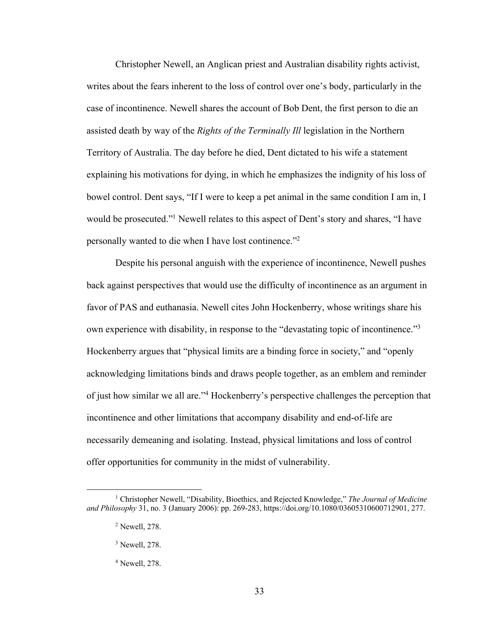Christopher Newell, an Anglican priest and Australian disability rights activist, writes about the fears inherent to the loss of control over one's body, particularly in the case of incontinence. Newell shares the account of Bob Dent, the first person to die an assisted death by way of the *Rights of the Terminally Ill* legislation in the Northern Territory of Australia. The day before he died, Dent dictated to his wife a statement explaining his motivations for dying, in which he emphasizes the indignity of his loss of bowel control. Dent says, "If I were to keep a pet animal in the same condition I am in, I would be prosecuted."<sup>1</sup> Newell relates to this aspect of Dent's story and shares, "I have personally wanted to die when I have lost continence."2

Despite his personal anguish with the experience of incontinence, Newell pushes back against perspectives that would use the difficulty of incontinence as an argument in favor of PAS and euthanasia. Newell cites John Hockenberry, whose writings share his own experience with disability, in response to the "devastating topic of incontinence."3 Hockenberry argues that "physical limits are a binding force in society," and "openly acknowledging limitations binds and draws people together, as an emblem and reminder of just how similar we all are."4 Hockenberry's perspective challenges the perception that incontinence and other limitations that accompany disability and end-of-life are necessarily demeaning and isolating. Instead, physical limitations and loss of control offer opportunities for community in the midst of vulnerability.

<sup>1</sup> Christopher Newell, "Disability, Bioethics, and Rejected Knowledge," *The Journal of Medicine and Philosophy* 31, no. 3 (January 2006): pp. 269-283, https://doi.org/10.1080/03605310600712901, 277.

<sup>2</sup> Newell, 278.

<sup>3</sup> Newell, 278.

<sup>4</sup> Newell, 278.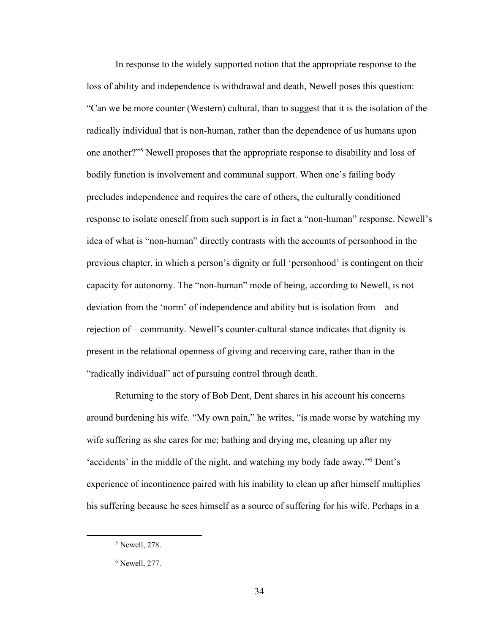In response to the widely supported notion that the appropriate response to the loss of ability and independence is withdrawal and death, Newell poses this question: "Can we be more counter (Western) cultural, than to suggest that it is the isolation of the radically individual that is non-human, rather than the dependence of us humans upon one another?"5 Newell proposes that the appropriate response to disability and loss of bodily function is involvement and communal support. When one's failing body precludes independence and requires the care of others, the culturally conditioned response to isolate oneself from such support is in fact a "non-human" response. Newell's idea of what is "non-human" directly contrasts with the accounts of personhood in the previous chapter, in which a person's dignity or full 'personhood' is contingent on their capacity for autonomy. The "non-human" mode of being, according to Newell, is not deviation from the 'norm' of independence and ability but is isolation from—and rejection of—community. Newell's counter-cultural stance indicates that dignity is present in the relational openness of giving and receiving care, rather than in the "radically individual" act of pursuing control through death.

Returning to the story of Bob Dent, Dent shares in his account his concerns around burdening his wife. "My own pain," he writes, "is made worse by watching my wife suffering as she cares for me; bathing and drying me, cleaning up after my 'accidents' in the middle of the night, and watching my body fade away."6 Dent's experience of incontinence paired with his inability to clean up after himself multiplies his suffering because he sees himself as a source of suffering for his wife. Perhaps in a

<sup>5</sup> Newell, 278.

 $<sup>6</sup>$  Newell, 277.</sup>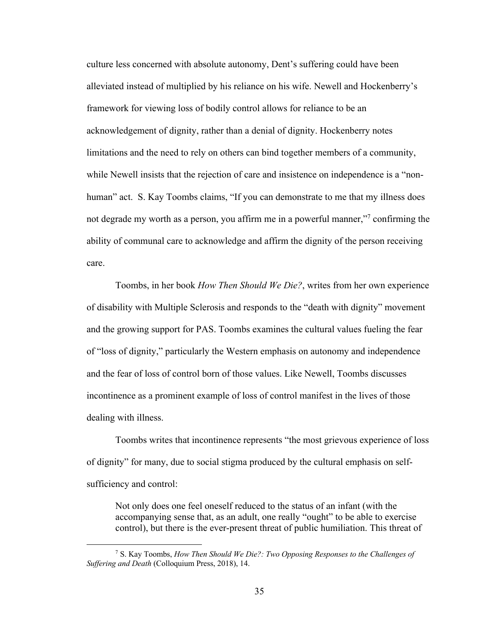culture less concerned with absolute autonomy, Dent's suffering could have been alleviated instead of multiplied by his reliance on his wife. Newell and Hockenberry's framework for viewing loss of bodily control allows for reliance to be an acknowledgement of dignity, rather than a denial of dignity. Hockenberry notes limitations and the need to rely on others can bind together members of a community, while Newell insists that the rejection of care and insistence on independence is a "nonhuman" act. S. Kay Toombs claims, "If you can demonstrate to me that my illness does not degrade my worth as a person, you affirm me in a powerful manner,"<sup>7</sup> confirming the ability of communal care to acknowledge and affirm the dignity of the person receiving care.

Toombs, in her book *How Then Should We Die?*, writes from her own experience of disability with Multiple Sclerosis and responds to the "death with dignity" movement and the growing support for PAS. Toombs examines the cultural values fueling the fear of "loss of dignity," particularly the Western emphasis on autonomy and independence and the fear of loss of control born of those values. Like Newell, Toombs discusses incontinence as a prominent example of loss of control manifest in the lives of those dealing with illness.

Toombs writes that incontinence represents "the most grievous experience of loss of dignity" for many, due to social stigma produced by the cultural emphasis on selfsufficiency and control:

Not only does one feel oneself reduced to the status of an infant (with the accompanying sense that, as an adult, one really "ought" to be able to exercise control), but there is the ever-present threat of public humiliation. This threat of

<sup>7</sup> S. Kay Toombs, *How Then Should We Die?: Two Opposing Responses to the Challenges of Suffering and Death* (Colloquium Press, 2018), 14.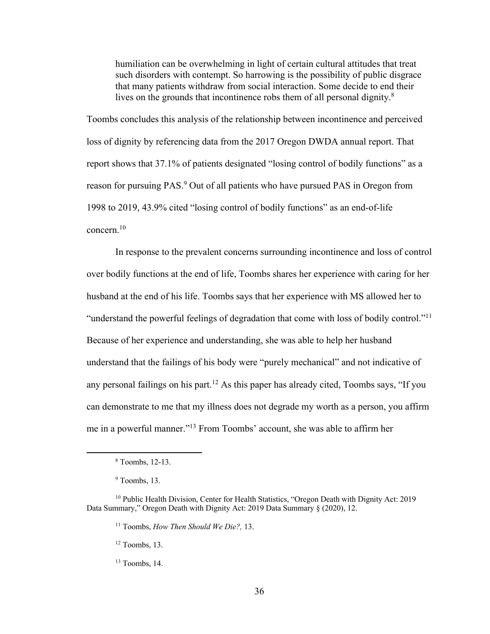humiliation can be overwhelming in light of certain cultural attitudes that treat such disorders with contempt. So harrowing is the possibility of public disgrace that many patients withdraw from social interaction. Some decide to end their lives on the grounds that incontinence robs them of all personal dignity.<sup>8</sup>

Toombs concludes this analysis of the relationship between incontinence and perceived loss of dignity by referencing data from the 2017 Oregon DWDA annual report. That report shows that 37.1% of patients designated "losing control of bodily functions" as a reason for pursuing PAS.<sup>9</sup> Out of all patients who have pursued PAS in Oregon from 1998 to 2019, 43.9% cited "losing control of bodily functions" as an end-of-life concern.10

In response to the prevalent concerns surrounding incontinence and loss of control over bodily functions at the end of life, Toombs shares her experience with caring for her husband at the end of his life. Toombs says that her experience with MS allowed her to "understand the powerful feelings of degradation that come with loss of bodily control."11 Because of her experience and understanding, she was able to help her husband understand that the failings of his body were "purely mechanical" and not indicative of any personal failings on his part.<sup>12</sup> As this paper has already cited, Toombs says, "If you can demonstrate to me that my illness does not degrade my worth as a person, you affirm me in a powerful manner."13 From Toombs' account, she was able to affirm her

<sup>12</sup> Toombs, 13.

<sup>8</sup> Toombs, 12-13.

<sup>&</sup>lt;sup>9</sup> Toombs, 13.

<sup>&</sup>lt;sup>10</sup> Public Health Division, Center for Health Statistics, "Oregon Death with Dignity Act: 2019 Data Summary," Oregon Death with Dignity Act: 2019 Data Summary § (2020), 12.

<sup>11</sup> Toombs, *How Then Should We Die?,* 13.

 $13$  Toombs, 14.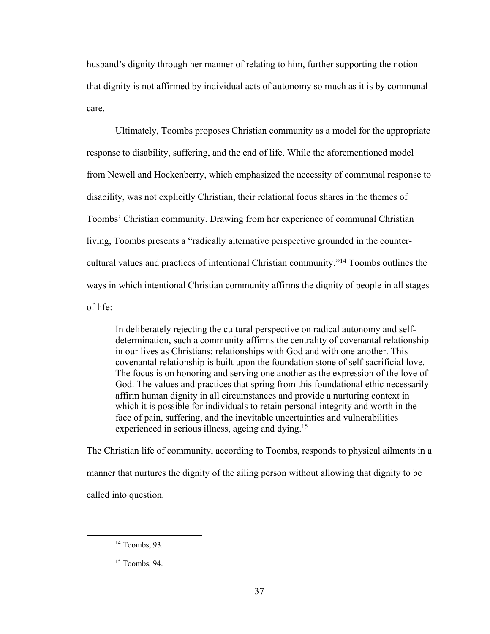husband's dignity through her manner of relating to him, further supporting the notion that dignity is not affirmed by individual acts of autonomy so much as it is by communal care.

Ultimately, Toombs proposes Christian community as a model for the appropriate response to disability, suffering, and the end of life. While the aforementioned model from Newell and Hockenberry, which emphasized the necessity of communal response to disability, was not explicitly Christian, their relational focus shares in the themes of Toombs' Christian community. Drawing from her experience of communal Christian living, Toombs presents a "radically alternative perspective grounded in the countercultural values and practices of intentional Christian community."14 Toombs outlines the ways in which intentional Christian community affirms the dignity of people in all stages of life:

In deliberately rejecting the cultural perspective on radical autonomy and selfdetermination, such a community affirms the centrality of covenantal relationship in our lives as Christians: relationships with God and with one another. This covenantal relationship is built upon the foundation stone of self-sacrificial love. The focus is on honoring and serving one another as the expression of the love of God. The values and practices that spring from this foundational ethic necessarily affirm human dignity in all circumstances and provide a nurturing context in which it is possible for individuals to retain personal integrity and worth in the face of pain, suffering, and the inevitable uncertainties and vulnerabilities experienced in serious illness, ageing and dying.<sup>15</sup>

The Christian life of community, according to Toombs, responds to physical ailments in a manner that nurtures the dignity of the ailing person without allowing that dignity to be called into question.

<sup>14</sup> Toombs, 93.

<sup>15</sup> Toombs, 94.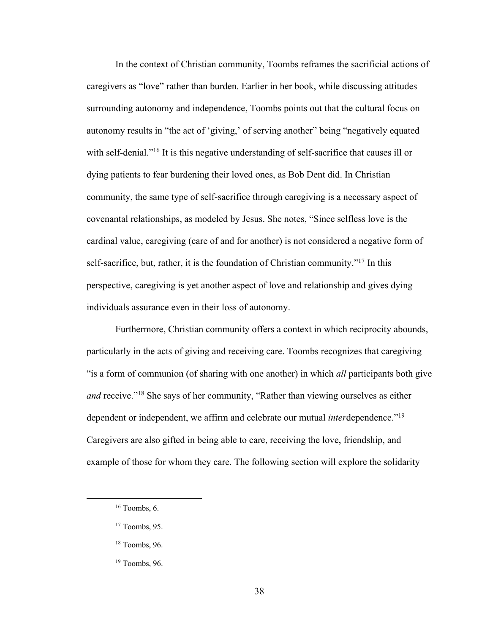In the context of Christian community, Toombs reframes the sacrificial actions of caregivers as "love" rather than burden. Earlier in her book, while discussing attitudes surrounding autonomy and independence, Toombs points out that the cultural focus on autonomy results in "the act of 'giving,' of serving another" being "negatively equated with self-denial."<sup>16</sup> It is this negative understanding of self-sacrifice that causes ill or dying patients to fear burdening their loved ones, as Bob Dent did. In Christian community, the same type of self-sacrifice through caregiving is a necessary aspect of covenantal relationships, as modeled by Jesus. She notes, "Since selfless love is the cardinal value, caregiving (care of and for another) is not considered a negative form of self-sacrifice, but, rather, it is the foundation of Christian community."<sup>17</sup> In this perspective, caregiving is yet another aspect of love and relationship and gives dying individuals assurance even in their loss of autonomy.

Furthermore, Christian community offers a context in which reciprocity abounds, particularly in the acts of giving and receiving care. Toombs recognizes that caregiving "is a form of communion (of sharing with one another) in which *all* participants both give *and* receive."18 She says of her community, "Rather than viewing ourselves as either dependent or independent, we affirm and celebrate our mutual *inter*dependence."19 Caregivers are also gifted in being able to care, receiving the love, friendship, and example of those for whom they care. The following section will explore the solidarity

 $16$  Toombs, 6.

 $17$  Toombs, 95.

<sup>18</sup> Toombs, 96.

<sup>19</sup> Toombs, 96.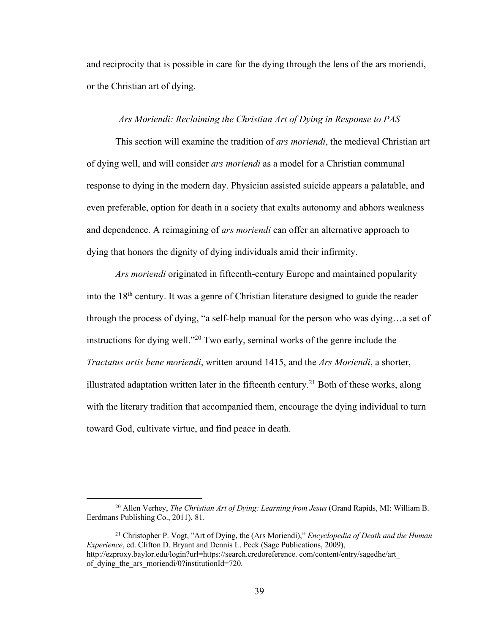and reciprocity that is possible in care for the dying through the lens of the ars moriendi, or the Christian art of dying.

# *Ars Moriendi: Reclaiming the Christian Art of Dying in Response to PAS*

This section will examine the tradition of *ars moriendi*, the medieval Christian art of dying well, and will consider *ars moriendi* as a model for a Christian communal response to dying in the modern day. Physician assisted suicide appears a palatable, and even preferable, option for death in a society that exalts autonomy and abhors weakness and dependence. A reimagining of *ars moriendi* can offer an alternative approach to dying that honors the dignity of dying individuals amid their infirmity.

*Ars moriendi* originated in fifteenth-century Europe and maintained popularity into the 18<sup>th</sup> century. It was a genre of Christian literature designed to guide the reader through the process of dying, "a self-help manual for the person who was dying…a set of instructions for dying well."20 Two early, seminal works of the genre include the *Tractatus artis bene moriendi*, written around 1415, and the *Ars Moriendi*, a shorter, illustrated adaptation written later in the fifteenth century.<sup>21</sup> Both of these works, along with the literary tradition that accompanied them, encourage the dying individual to turn toward God, cultivate virtue, and find peace in death.

<sup>20</sup> Allen Verhey, *The Christian Art of Dying: Learning from Jesus* (Grand Rapids, MI: William B. Eerdmans Publishing Co., 2011), 81.

<sup>21</sup> Christopher P. Vogt, "Art of Dying, the (Ars Moriendi)," *Encyclopedia of Death and the Human Experience*, ed. Clifton D. Bryant and Dennis L. Peck (Sage Publications, 2009), http://ezproxy.baylor.edu/login?url=https://search.credoreference. com/content/entry/sagedhe/art\_ of dying the ars moriendi/0?institutionId=720.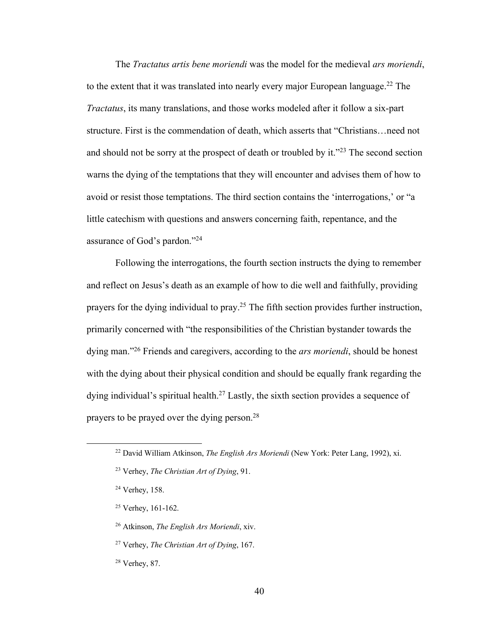The *Tractatus artis bene moriendi* was the model for the medieval *ars moriendi*, to the extent that it was translated into nearly every major European language.<sup>22</sup> The *Tractatus*, its many translations, and those works modeled after it follow a six-part structure. First is the commendation of death, which asserts that "Christians…need not and should not be sorry at the prospect of death or troubled by it."<sup>23</sup> The second section warns the dying of the temptations that they will encounter and advises them of how to avoid or resist those temptations. The third section contains the 'interrogations,' or "a little catechism with questions and answers concerning faith, repentance, and the assurance of God's pardon."24

Following the interrogations, the fourth section instructs the dying to remember and reflect on Jesus's death as an example of how to die well and faithfully, providing prayers for the dying individual to pray.<sup>25</sup> The fifth section provides further instruction, primarily concerned with "the responsibilities of the Christian bystander towards the dying man."26 Friends and caregivers, according to the *ars moriendi*, should be honest with the dying about their physical condition and should be equally frank regarding the dying individual's spiritual health.<sup>27</sup> Lastly, the sixth section provides a sequence of prayers to be prayed over the dying person.28

<sup>22</sup> David William Atkinson, *The English Ars Moriendi* (New York: Peter Lang, 1992), xi.

<sup>23</sup> Verhey, *The Christian Art of Dying*, 91.

<sup>24</sup> Verhey, 158.

<sup>25</sup> Verhey, 161-162.

<sup>26</sup> Atkinson, *The English Ars Moriendi*, xiv.

<sup>27</sup> Verhey, *The Christian Art of Dying*, 167.

<sup>28</sup> Verhey, 87.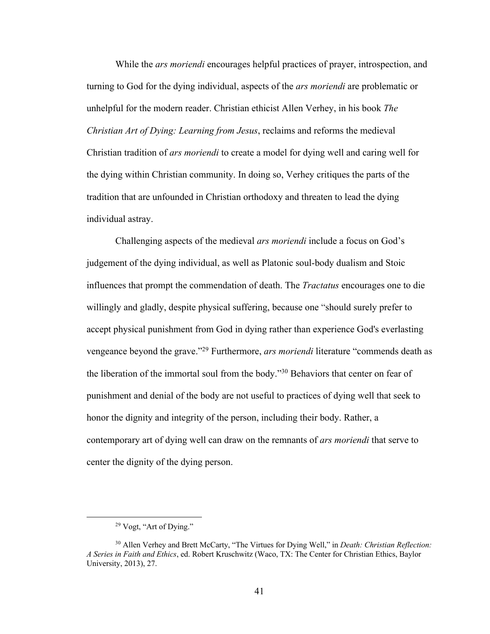While the *ars moriendi* encourages helpful practices of prayer, introspection, and turning to God for the dying individual, aspects of the *ars moriendi* are problematic or unhelpful for the modern reader. Christian ethicist Allen Verhey, in his book *The Christian Art of Dying: Learning from Jesus*, reclaims and reforms the medieval Christian tradition of *ars moriendi* to create a model for dying well and caring well for the dying within Christian community. In doing so, Verhey critiques the parts of the tradition that are unfounded in Christian orthodoxy and threaten to lead the dying individual astray.

Challenging aspects of the medieval *ars moriendi* include a focus on God's judgement of the dying individual, as well as Platonic soul-body dualism and Stoic influences that prompt the commendation of death. The *Tractatus* encourages one to die willingly and gladly, despite physical suffering, because one "should surely prefer to accept physical punishment from God in dying rather than experience God's everlasting vengeance beyond the grave."29 Furthermore, *ars moriendi* literature "commends death as the liberation of the immortal soul from the body."30 Behaviors that center on fear of punishment and denial of the body are not useful to practices of dying well that seek to honor the dignity and integrity of the person, including their body. Rather, a contemporary art of dying well can draw on the remnants of *ars moriendi* that serve to center the dignity of the dying person.

<sup>29</sup> Vogt, "Art of Dying."

<sup>30</sup> Allen Verhey and Brett McCarty, "The Virtues for Dying Well," in *Death: Christian Reflection: A Series in Faith and Ethics*, ed. Robert Kruschwitz (Waco, TX: The Center for Christian Ethics, Baylor University, 2013), 27.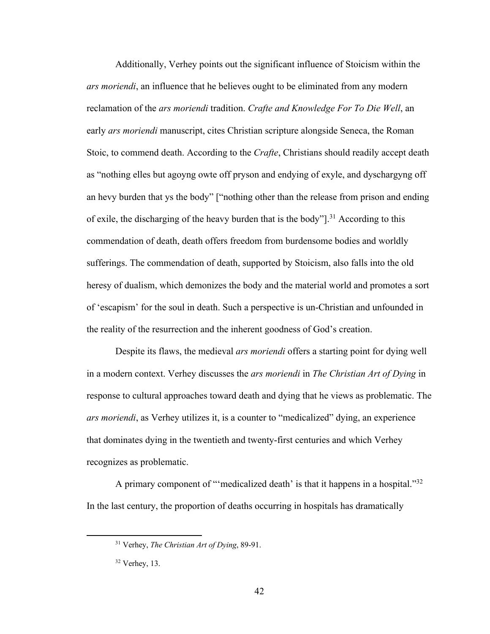Additionally, Verhey points out the significant influence of Stoicism within the *ars moriendi*, an influence that he believes ought to be eliminated from any modern reclamation of the *ars moriendi* tradition. *Crafte and Knowledge For To Die Well*, an early *ars moriendi* manuscript, cites Christian scripture alongside Seneca, the Roman Stoic, to commend death. According to the *Crafte*, Christians should readily accept death as "nothing elles but agoyng owte off pryson and endying of exyle, and dyschargyng off an hevy burden that ys the body" ["nothing other than the release from prison and ending of exile, the discharging of the heavy burden that is the body" $]$ <sup>31</sup> According to this commendation of death, death offers freedom from burdensome bodies and worldly sufferings. The commendation of death, supported by Stoicism, also falls into the old heresy of dualism, which demonizes the body and the material world and promotes a sort of 'escapism' for the soul in death. Such a perspective is un-Christian and unfounded in the reality of the resurrection and the inherent goodness of God's creation.

Despite its flaws, the medieval *ars moriendi* offers a starting point for dying well in a modern context. Verhey discusses the *ars moriendi* in *The Christian Art of Dying* in response to cultural approaches toward death and dying that he views as problematic. The *ars moriendi*, as Verhey utilizes it, is a counter to "medicalized" dying, an experience that dominates dying in the twentieth and twenty-first centuries and which Verhey recognizes as problematic.

A primary component of "'medicalized death' is that it happens in a hospital."32 In the last century, the proportion of deaths occurring in hospitals has dramatically

<sup>31</sup> Verhey, *The Christian Art of Dying*, 89-91.

<sup>32</sup> Verhey, 13.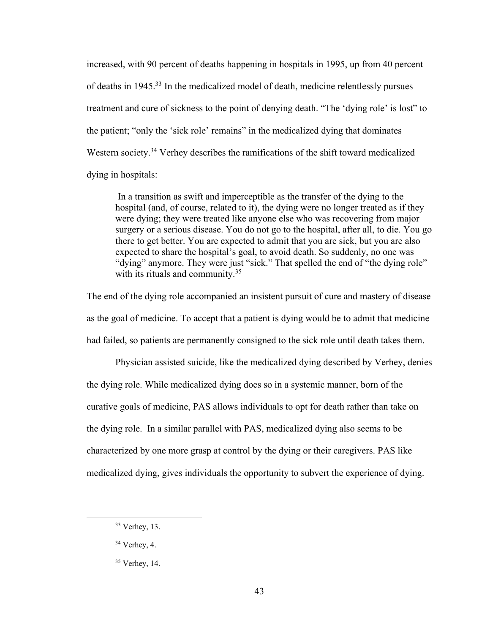increased, with 90 percent of deaths happening in hospitals in 1995, up from 40 percent of deaths in 1945.33 In the medicalized model of death, medicine relentlessly pursues treatment and cure of sickness to the point of denying death. "The 'dying role' is lost" to the patient; "only the 'sick role' remains" in the medicalized dying that dominates Western society.<sup>34</sup> Verhey describes the ramifications of the shift toward medicalized dying in hospitals:

In a transition as swift and imperceptible as the transfer of the dying to the hospital (and, of course, related to it), the dying were no longer treated as if they were dying; they were treated like anyone else who was recovering from major surgery or a serious disease. You do not go to the hospital, after all, to die. You go there to get better. You are expected to admit that you are sick, but you are also expected to share the hospital's goal, to avoid death. So suddenly, no one was "dying" anymore. They were just "sick." That spelled the end of "the dying role" with its rituals and community.<sup>35</sup>

The end of the dying role accompanied an insistent pursuit of cure and mastery of disease as the goal of medicine. To accept that a patient is dying would be to admit that medicine had failed, so patients are permanently consigned to the sick role until death takes them.

Physician assisted suicide, like the medicalized dying described by Verhey, denies the dying role. While medicalized dying does so in a systemic manner, born of the curative goals of medicine, PAS allows individuals to opt for death rather than take on the dying role. In a similar parallel with PAS, medicalized dying also seems to be characterized by one more grasp at control by the dying or their caregivers. PAS like medicalized dying, gives individuals the opportunity to subvert the experience of dying.

<sup>33</sup> Verhey, 13.

<sup>34</sup> Verhey, 4.

<sup>35</sup> Verhey, 14.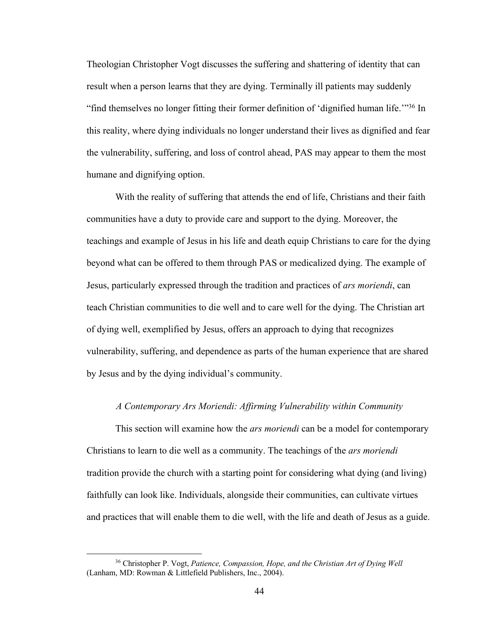Theologian Christopher Vogt discusses the suffering and shattering of identity that can result when a person learns that they are dying. Terminally ill patients may suddenly "find themselves no longer fitting their former definition of 'dignified human life.'"36 In this reality, where dying individuals no longer understand their lives as dignified and fear the vulnerability, suffering, and loss of control ahead, PAS may appear to them the most humane and dignifying option.

With the reality of suffering that attends the end of life, Christians and their faith communities have a duty to provide care and support to the dying. Moreover, the teachings and example of Jesus in his life and death equip Christians to care for the dying beyond what can be offered to them through PAS or medicalized dying. The example of Jesus, particularly expressed through the tradition and practices of *ars moriendi*, can teach Christian communities to die well and to care well for the dying. The Christian art of dying well, exemplified by Jesus, offers an approach to dying that recognizes vulnerability, suffering, and dependence as parts of the human experience that are shared by Jesus and by the dying individual's community.

### *A Contemporary Ars Moriendi: Affirming Vulnerability within Community*

This section will examine how the *ars moriendi* can be a model for contemporary Christians to learn to die well as a community. The teachings of the *ars moriendi* tradition provide the church with a starting point for considering what dying (and living) faithfully can look like. Individuals, alongside their communities, can cultivate virtues and practices that will enable them to die well, with the life and death of Jesus as a guide.

<sup>36</sup> Christopher P. Vogt, *Patience, Compassion, Hope, and the Christian Art of Dying Well* (Lanham, MD: Rowman & Littlefield Publishers, Inc., 2004).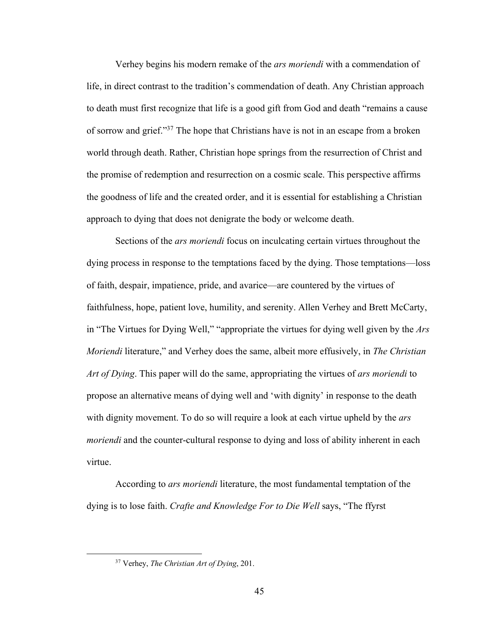Verhey begins his modern remake of the *ars moriendi* with a commendation of life, in direct contrast to the tradition's commendation of death. Any Christian approach to death must first recognize that life is a good gift from God and death "remains a cause of sorrow and grief."37 The hope that Christians have is not in an escape from a broken world through death. Rather, Christian hope springs from the resurrection of Christ and the promise of redemption and resurrection on a cosmic scale. This perspective affirms the goodness of life and the created order, and it is essential for establishing a Christian approach to dying that does not denigrate the body or welcome death.

Sections of the *ars moriendi* focus on inculcating certain virtues throughout the dying process in response to the temptations faced by the dying. Those temptations—loss of faith, despair, impatience, pride, and avarice—are countered by the virtues of faithfulness, hope, patient love, humility, and serenity. Allen Verhey and Brett McCarty, in "The Virtues for Dying Well," "appropriate the virtues for dying well given by the *Ars Moriendi* literature," and Verhey does the same, albeit more effusively, in *The Christian Art of Dying*. This paper will do the same, appropriating the virtues of *ars moriendi* to propose an alternative means of dying well and 'with dignity' in response to the death with dignity movement. To do so will require a look at each virtue upheld by the *ars moriendi* and the counter-cultural response to dying and loss of ability inherent in each virtue.

According to *ars moriendi* literature, the most fundamental temptation of the dying is to lose faith. *Crafte and Knowledge For to Die Well* says, "The ffyrst

<sup>37</sup> Verhey, *The Christian Art of Dying*, 201.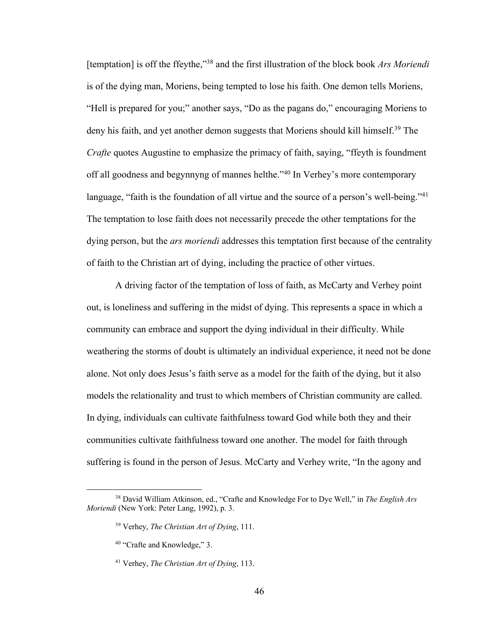[temptation] is off the ffeythe,"38 and the first illustration of the block book *Ars Moriendi* is of the dying man, Moriens, being tempted to lose his faith. One demon tells Moriens, "Hell is prepared for you;" another says, "Do as the pagans do," encouraging Moriens to deny his faith, and yet another demon suggests that Moriens should kill himself.<sup>39</sup> The *Crafte* quotes Augustine to emphasize the primacy of faith, saying, "ffeyth is foundment off all goodness and begynnyng of mannes helthe."40 In Verhey's more contemporary language, "faith is the foundation of all virtue and the source of a person's well-being."<sup>41</sup> The temptation to lose faith does not necessarily precede the other temptations for the dying person, but the *ars moriendi* addresses this temptation first because of the centrality of faith to the Christian art of dying, including the practice of other virtues.

A driving factor of the temptation of loss of faith, as McCarty and Verhey point out, is loneliness and suffering in the midst of dying. This represents a space in which a community can embrace and support the dying individual in their difficulty. While weathering the storms of doubt is ultimately an individual experience, it need not be done alone. Not only does Jesus's faith serve as a model for the faith of the dying, but it also models the relationality and trust to which members of Christian community are called. In dying, individuals can cultivate faithfulness toward God while both they and their communities cultivate faithfulness toward one another. The model for faith through suffering is found in the person of Jesus. McCarty and Verhey write, "In the agony and

<sup>38</sup> David William Atkinson, ed., "Crafte and Knowledge For to Dye Well," in *The English Ars Moriendi* (New York: Peter Lang, 1992), p. 3.

<sup>39</sup> Verhey, *The Christian Art of Dying*, 111.

<sup>40</sup> "Crafte and Knowledge," 3.

<sup>41</sup> Verhey, *The Christian Art of Dying*, 113.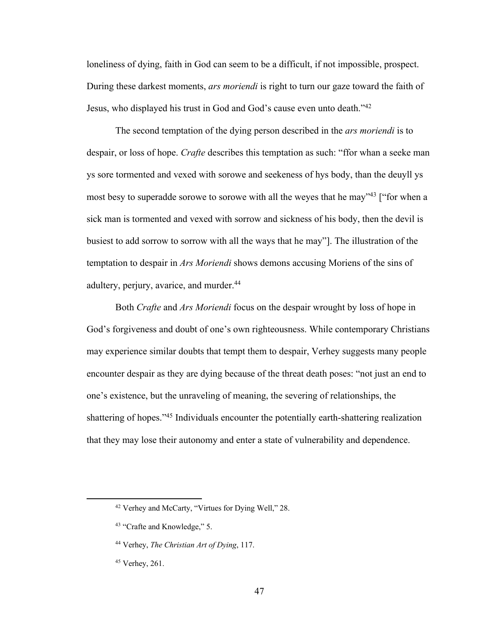loneliness of dying, faith in God can seem to be a difficult, if not impossible, prospect. During these darkest moments, *ars moriendi* is right to turn our gaze toward the faith of Jesus, who displayed his trust in God and God's cause even unto death."42

The second temptation of the dying person described in the *ars moriendi* is to despair, or loss of hope. *Crafte* describes this temptation as such: "ffor whan a seeke man ys sore tormented and vexed with sorowe and seekeness of hys body, than the deuyll ys most besy to superadde sorowe to sorowe with all the weyes that he may<sup>343</sup> ["for when a sick man is tormented and vexed with sorrow and sickness of his body, then the devil is busiest to add sorrow to sorrow with all the ways that he may"]. The illustration of the temptation to despair in *Ars Moriendi* shows demons accusing Moriens of the sins of adultery, perjury, avarice, and murder.<sup>44</sup>

Both *Crafte* and *Ars Moriendi* focus on the despair wrought by loss of hope in God's forgiveness and doubt of one's own righteousness. While contemporary Christians may experience similar doubts that tempt them to despair, Verhey suggests many people encounter despair as they are dying because of the threat death poses: "not just an end to one's existence, but the unraveling of meaning, the severing of relationships, the shattering of hopes."<sup>45</sup> Individuals encounter the potentially earth-shattering realization that they may lose their autonomy and enter a state of vulnerability and dependence.

<sup>42</sup> Verhey and McCarty, "Virtues for Dying Well," 28.

<sup>43</sup> "Crafte and Knowledge," 5.

<sup>44</sup> Verhey, *The Christian Art of Dying*, 117.

<sup>45</sup> Verhey, 261.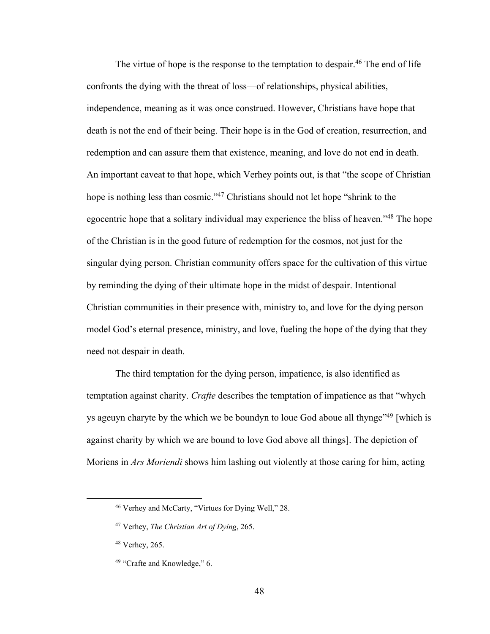The virtue of hope is the response to the temptation to despair.<sup>46</sup> The end of life confronts the dying with the threat of loss—of relationships, physical abilities, independence, meaning as it was once construed. However, Christians have hope that death is not the end of their being. Their hope is in the God of creation, resurrection, and redemption and can assure them that existence, meaning, and love do not end in death. An important caveat to that hope, which Verhey points out, is that "the scope of Christian hope is nothing less than cosmic."<sup>47</sup> Christians should not let hope "shrink to the egocentric hope that a solitary individual may experience the bliss of heaven."<sup>48</sup> The hope of the Christian is in the good future of redemption for the cosmos, not just for the singular dying person. Christian community offers space for the cultivation of this virtue by reminding the dying of their ultimate hope in the midst of despair. Intentional Christian communities in their presence with, ministry to, and love for the dying person model God's eternal presence, ministry, and love, fueling the hope of the dying that they need not despair in death.

The third temptation for the dying person, impatience, is also identified as temptation against charity. *Crafte* describes the temptation of impatience as that "whych ys ageuyn charyte by the which we be boundyn to loue God aboue all thynge<sup>749</sup> [which is against charity by which we are bound to love God above all things]. The depiction of Moriens in *Ars Moriendi* shows him lashing out violently at those caring for him, acting

<sup>46</sup> Verhey and McCarty, "Virtues for Dying Well," 28.

<sup>47</sup> Verhey, *The Christian Art of Dying*, 265.

<sup>48</sup> Verhey, 265.

<sup>&</sup>lt;sup>49</sup> "Crafte and Knowledge," 6.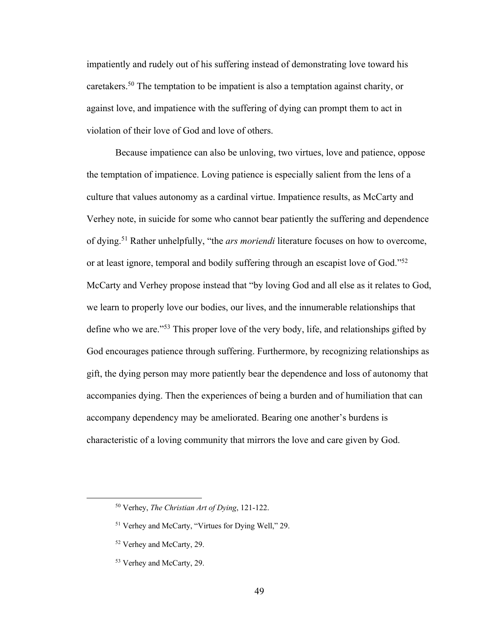impatiently and rudely out of his suffering instead of demonstrating love toward his caretakers.<sup>50</sup> The temptation to be impatient is also a temptation against charity, or against love, and impatience with the suffering of dying can prompt them to act in violation of their love of God and love of others.

Because impatience can also be unloving, two virtues, love and patience, oppose the temptation of impatience. Loving patience is especially salient from the lens of a culture that values autonomy as a cardinal virtue. Impatience results, as McCarty and Verhey note, in suicide for some who cannot bear patiently the suffering and dependence of dying.51 Rather unhelpfully, "the *ars moriendi* literature focuses on how to overcome, or at least ignore, temporal and bodily suffering through an escapist love of God."<sup>52</sup> McCarty and Verhey propose instead that "by loving God and all else as it relates to God, we learn to properly love our bodies, our lives, and the innumerable relationships that define who we are."53 This proper love of the very body, life, and relationships gifted by God encourages patience through suffering. Furthermore, by recognizing relationships as gift, the dying person may more patiently bear the dependence and loss of autonomy that accompanies dying. Then the experiences of being a burden and of humiliation that can accompany dependency may be ameliorated. Bearing one another's burdens is characteristic of a loving community that mirrors the love and care given by God.

<sup>50</sup> Verhey, *The Christian Art of Dying*, 121-122.

<sup>51</sup> Verhey and McCarty, "Virtues for Dying Well," 29.

<sup>52</sup> Verhey and McCarty, 29.

<sup>53</sup> Verhey and McCarty, 29.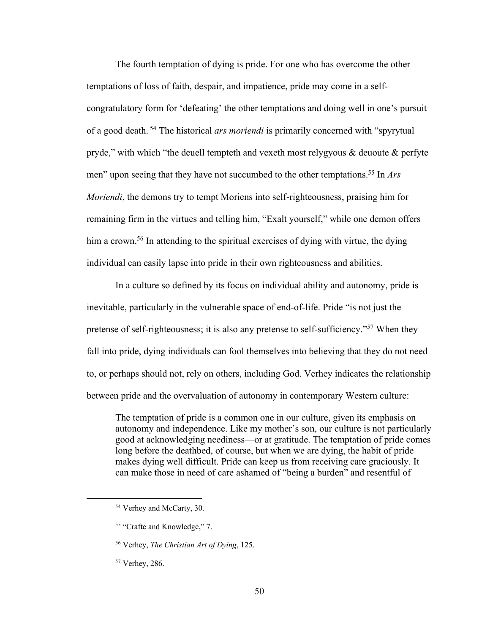The fourth temptation of dying is pride. For one who has overcome the other temptations of loss of faith, despair, and impatience, pride may come in a selfcongratulatory form for 'defeating' the other temptations and doing well in one's pursuit of a good death. <sup>54</sup> The historical *ars moriendi* is primarily concerned with "spyrytual pryde," with which "the deuell tempteth and vexeth most relygyous & deuoute & perfyte men" upon seeing that they have not succumbed to the other temptations.55 In *Ars Moriendi*, the demons try to tempt Moriens into self-righteousness, praising him for remaining firm in the virtues and telling him, "Exalt yourself," while one demon offers him a crown.<sup>56</sup> In attending to the spiritual exercises of dying with virtue, the dying individual can easily lapse into pride in their own righteousness and abilities.

In a culture so defined by its focus on individual ability and autonomy, pride is inevitable, particularly in the vulnerable space of end-of-life. Pride "is not just the pretense of self-righteousness; it is also any pretense to self-sufficiency."57 When they fall into pride, dying individuals can fool themselves into believing that they do not need to, or perhaps should not, rely on others, including God. Verhey indicates the relationship between pride and the overvaluation of autonomy in contemporary Western culture:

The temptation of pride is a common one in our culture, given its emphasis on autonomy and independence. Like my mother's son, our culture is not particularly good at acknowledging neediness—or at gratitude. The temptation of pride comes long before the deathbed, of course, but when we are dying, the habit of pride makes dying well difficult. Pride can keep us from receiving care graciously. It can make those in need of care ashamed of "being a burden" and resentful of

<sup>54</sup> Verhey and McCarty, 30.

<sup>55</sup> "Crafte and Knowledge," 7.

<sup>56</sup> Verhey, *The Christian Art of Dying*, 125.

<sup>57</sup> Verhey, 286.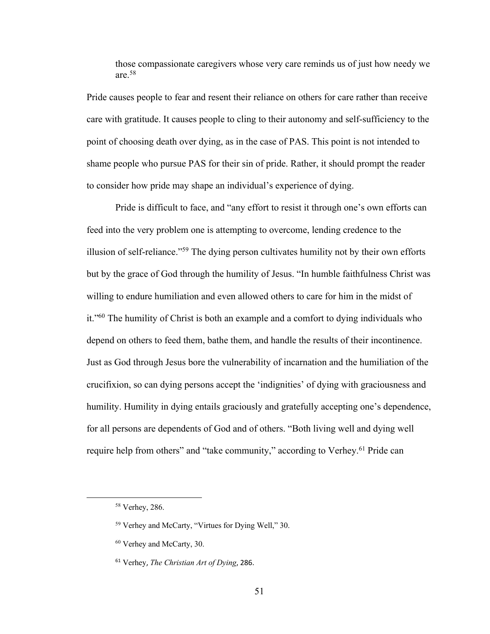those compassionate caregivers whose very care reminds us of just how needy we are.58

Pride causes people to fear and resent their reliance on others for care rather than receive care with gratitude. It causes people to cling to their autonomy and self-sufficiency to the point of choosing death over dying, as in the case of PAS. This point is not intended to shame people who pursue PAS for their sin of pride. Rather, it should prompt the reader to consider how pride may shape an individual's experience of dying.

Pride is difficult to face, and "any effort to resist it through one's own efforts can feed into the very problem one is attempting to overcome, lending credence to the illusion of self-reliance."59 The dying person cultivates humility not by their own efforts but by the grace of God through the humility of Jesus. "In humble faithfulness Christ was willing to endure humiliation and even allowed others to care for him in the midst of it."60 The humility of Christ is both an example and a comfort to dying individuals who depend on others to feed them, bathe them, and handle the results of their incontinence. Just as God through Jesus bore the vulnerability of incarnation and the humiliation of the crucifixion, so can dying persons accept the 'indignities' of dying with graciousness and humility. Humility in dying entails graciously and gratefully accepting one's dependence, for all persons are dependents of God and of others. "Both living well and dying well require help from others" and "take community," according to Verhey.<sup>61</sup> Pride can

<sup>58</sup> Verhey, 286.

<sup>59</sup> Verhey and McCarty, "Virtues for Dying Well," 30.

<sup>60</sup> Verhey and McCarty, 30.

<sup>61</sup> Verhey, *The Christian Art of Dying*, 286.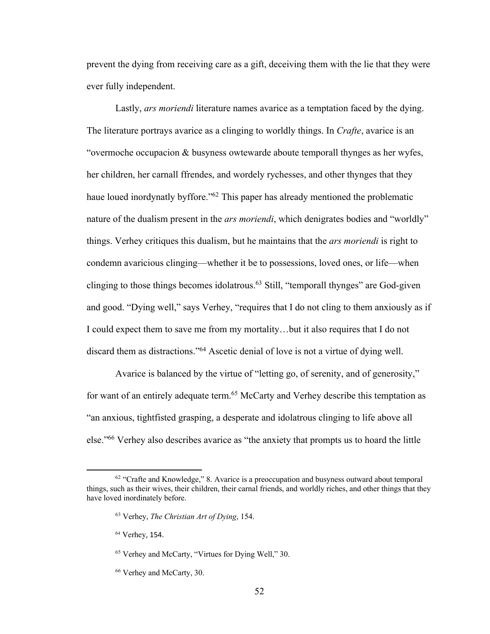prevent the dying from receiving care as a gift, deceiving them with the lie that they were ever fully independent.

Lastly, *ars moriendi* literature names avarice as a temptation faced by the dying. The literature portrays avarice as a clinging to worldly things. In *Crafte*, avarice is an "overmoche occupacion & busyness owtewarde aboute temporall thynges as her wyfes, her children, her carnall ffrendes, and wordely rychesses, and other thynges that they haue loued inordynatly byffore."<sup>62</sup> This paper has already mentioned the problematic nature of the dualism present in the *ars moriendi*, which denigrates bodies and "worldly" things. Verhey critiques this dualism, but he maintains that the *ars moriendi* is right to condemn avaricious clinging—whether it be to possessions, loved ones, or life—when clinging to those things becomes idolatrous.63 Still, "temporall thynges" are God-given and good. "Dying well," says Verhey, "requires that I do not cling to them anxiously as if I could expect them to save me from my mortality…but it also requires that I do not discard them as distractions."64 Ascetic denial of love is not a virtue of dying well.

Avarice is balanced by the virtue of "letting go, of serenity, and of generosity," for want of an entirely adequate term.<sup>65</sup> McCarty and Verhey describe this temptation as "an anxious, tightfisted grasping, a desperate and idolatrous clinging to life above all else."66 Verhey also describes avarice as "the anxiety that prompts us to hoard the little

 $62$  "Crafte and Knowledge," 8. Avarice is a preoccupation and busyness outward about temporal things, such as their wives, their children, their carnal friends, and worldly riches, and other things that they have loved inordinately before.

<sup>63</sup> Verhey, *The Christian Art of Dying*, 154.

<sup>64</sup> Verhey, 154.

<sup>65</sup> Verhey and McCarty, "Virtues for Dying Well," 30.

<sup>66</sup> Verhey and McCarty, 30.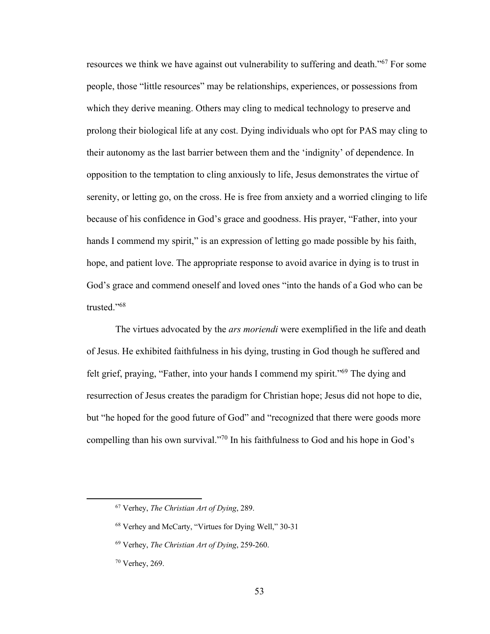resources we think we have against out vulnerability to suffering and death."67 For some people, those "little resources" may be relationships, experiences, or possessions from which they derive meaning. Others may cling to medical technology to preserve and prolong their biological life at any cost. Dying individuals who opt for PAS may cling to their autonomy as the last barrier between them and the 'indignity' of dependence. In opposition to the temptation to cling anxiously to life, Jesus demonstrates the virtue of serenity, or letting go, on the cross. He is free from anxiety and a worried clinging to life because of his confidence in God's grace and goodness. His prayer, "Father, into your hands I commend my spirit," is an expression of letting go made possible by his faith, hope, and patient love. The appropriate response to avoid avarice in dying is to trust in God's grace and commend oneself and loved ones "into the hands of a God who can be trusted."68

The virtues advocated by the *ars moriendi* were exemplified in the life and death of Jesus. He exhibited faithfulness in his dying, trusting in God though he suffered and felt grief, praying, "Father, into your hands I commend my spirit."69 The dying and resurrection of Jesus creates the paradigm for Christian hope; Jesus did not hope to die, but "he hoped for the good future of God" and "recognized that there were goods more compelling than his own survival."70 In his faithfulness to God and his hope in God's

<sup>67</sup> Verhey, *The Christian Art of Dying*, 289.

<sup>68</sup> Verhey and McCarty, "Virtues for Dying Well," 30-31

<sup>69</sup> Verhey, *The Christian Art of Dying*, 259-260.

<sup>70</sup> Verhey, 269.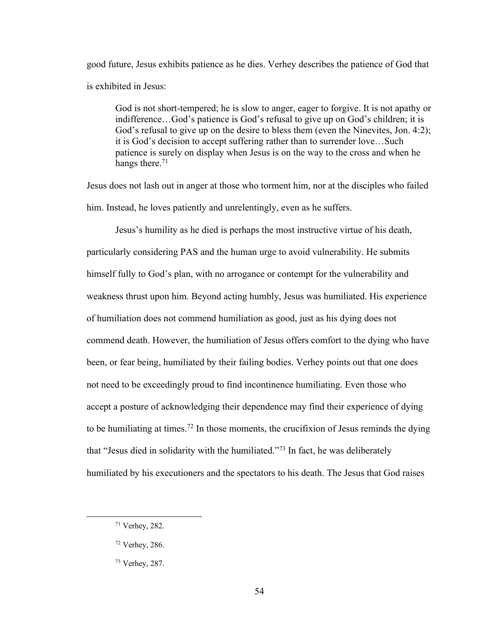good future, Jesus exhibits patience as he dies. Verhey describes the patience of God that is exhibited in Jesus:

God is not short-tempered; he is slow to anger, eager to forgive. It is not apathy or indifference…God's patience is God's refusal to give up on God's children; it is God's refusal to give up on the desire to bless them (even the Ninevites, Jon. 4:2); it is God's decision to accept suffering rather than to surrender love…Such patience is surely on display when Jesus is on the way to the cross and when he hangs there.<sup>71</sup>

Jesus does not lash out in anger at those who torment him, nor at the disciples who failed him. Instead, he loves patiently and unrelentingly, even as he suffers.

Jesus's humility as he died is perhaps the most instructive virtue of his death, particularly considering PAS and the human urge to avoid vulnerability. He submits himself fully to God's plan, with no arrogance or contempt for the vulnerability and weakness thrust upon him. Beyond acting humbly, Jesus was humiliated. His experience of humiliation does not commend humiliation as good, just as his dying does not commend death. However, the humiliation of Jesus offers comfort to the dying who have been, or fear being, humiliated by their failing bodies. Verhey points out that one does not need to be exceedingly proud to find incontinence humiliating. Even those who accept a posture of acknowledging their dependence may find their experience of dying to be humiliating at times.<sup>72</sup> In those moments, the crucifixion of Jesus reminds the dying that "Jesus died in solidarity with the humiliated."73 In fact, he was deliberately humiliated by his executioners and the spectators to his death. The Jesus that God raises

<sup>71</sup> Verhey, 282.

<sup>72</sup> Verhey, 286.

<sup>73</sup> Verhey, 287.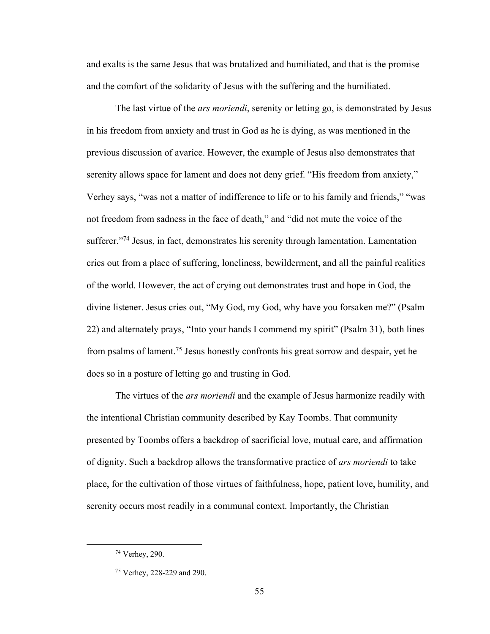and exalts is the same Jesus that was brutalized and humiliated, and that is the promise and the comfort of the solidarity of Jesus with the suffering and the humiliated.

The last virtue of the *ars moriendi*, serenity or letting go, is demonstrated by Jesus in his freedom from anxiety and trust in God as he is dying, as was mentioned in the previous discussion of avarice. However, the example of Jesus also demonstrates that serenity allows space for lament and does not deny grief. "His freedom from anxiety," Verhey says, "was not a matter of indifference to life or to his family and friends," "was not freedom from sadness in the face of death," and "did not mute the voice of the sufferer."<sup>74</sup> Jesus, in fact, demonstrates his serenity through lamentation. Lamentation cries out from a place of suffering, loneliness, bewilderment, and all the painful realities of the world. However, the act of crying out demonstrates trust and hope in God, the divine listener. Jesus cries out, "My God, my God, why have you forsaken me?" (Psalm 22) and alternately prays, "Into your hands I commend my spirit" (Psalm 31), both lines from psalms of lament.75 Jesus honestly confronts his great sorrow and despair, yet he does so in a posture of letting go and trusting in God.

The virtues of the *ars moriendi* and the example of Jesus harmonize readily with the intentional Christian community described by Kay Toombs. That community presented by Toombs offers a backdrop of sacrificial love, mutual care, and affirmation of dignity. Such a backdrop allows the transformative practice of *ars moriendi* to take place, for the cultivation of those virtues of faithfulness, hope, patient love, humility, and serenity occurs most readily in a communal context. Importantly, the Christian

<sup>74</sup> Verhey, 290.

<sup>75</sup> Verhey, 228-229 and 290.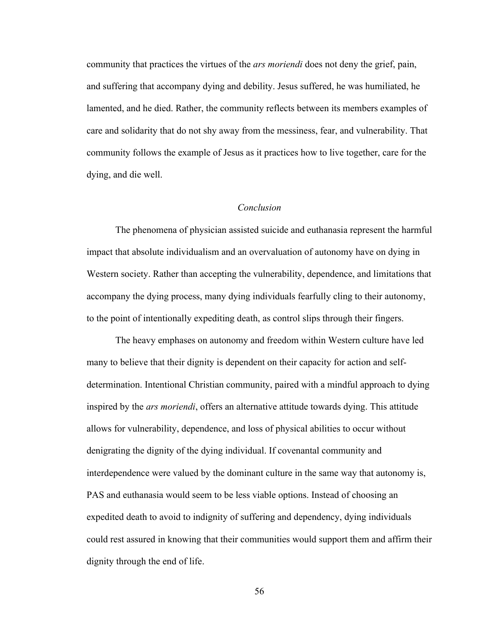community that practices the virtues of the *ars moriendi* does not deny the grief, pain, and suffering that accompany dying and debility. Jesus suffered, he was humiliated, he lamented, and he died. Rather, the community reflects between its members examples of care and solidarity that do not shy away from the messiness, fear, and vulnerability. That community follows the example of Jesus as it practices how to live together, care for the dying, and die well.

# *Conclusion*

The phenomena of physician assisted suicide and euthanasia represent the harmful impact that absolute individualism and an overvaluation of autonomy have on dying in Western society. Rather than accepting the vulnerability, dependence, and limitations that accompany the dying process, many dying individuals fearfully cling to their autonomy, to the point of intentionally expediting death, as control slips through their fingers.

The heavy emphases on autonomy and freedom within Western culture have led many to believe that their dignity is dependent on their capacity for action and selfdetermination. Intentional Christian community, paired with a mindful approach to dying inspired by the *ars moriendi*, offers an alternative attitude towards dying. This attitude allows for vulnerability, dependence, and loss of physical abilities to occur without denigrating the dignity of the dying individual. If covenantal community and interdependence were valued by the dominant culture in the same way that autonomy is, PAS and euthanasia would seem to be less viable options. Instead of choosing an expedited death to avoid to indignity of suffering and dependency, dying individuals could rest assured in knowing that their communities would support them and affirm their dignity through the end of life.

56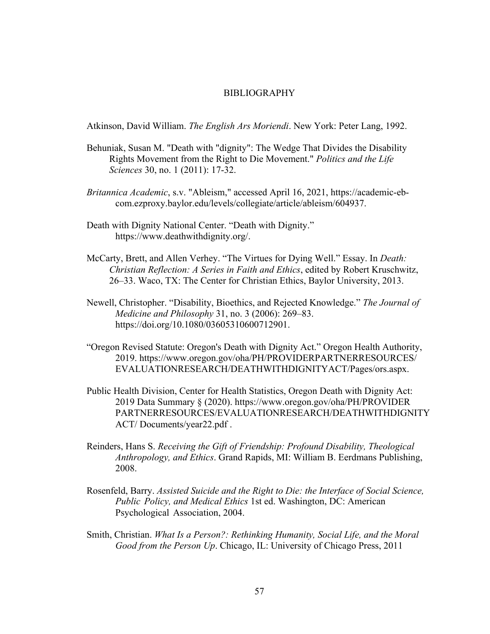#### BIBLIOGRAPHY

Atkinson, David William. *The English Ars Moriendi*. New York: Peter Lang, 1992.

- Behuniak, Susan M. "Death with "dignity": The Wedge That Divides the Disability Rights Movement from the Right to Die Movement." *Politics and the Life Sciences* 30, no. 1 (2011): 17-32.
- *Britannica Academic*, s.v. "Ableism," accessed April 16, 2021, https://academic-ebcom.ezproxy.baylor.edu/levels/collegiate/article/ableism/604937.
- Death with Dignity National Center. "Death with Dignity." https://www.deathwithdignity.org/.
- McCarty, Brett, and Allen Verhey. "The Virtues for Dying Well." Essay. In *Death: Christian Reflection: A Series in Faith and Ethics*, edited by Robert Kruschwitz, 26–33. Waco, TX: The Center for Christian Ethics, Baylor University, 2013.
- Newell, Christopher. "Disability, Bioethics, and Rejected Knowledge." *The Journal of Medicine and Philosophy* 31, no. 3 (2006): 269–83. https://doi.org/10.1080/03605310600712901.
- "Oregon Revised Statute: Oregon's Death with Dignity Act." Oregon Health Authority, 2019. https://www.oregon.gov/oha/PH/PROVIDERPARTNERRESOURCES/ EVALUATIONRESEARCH/DEATHWITHDIGNITYACT/Pages/ors.aspx.
- Public Health Division, Center for Health Statistics, Oregon Death with Dignity Act: 2019 Data Summary § (2020). https://www.oregon.gov/oha/PH/PROVIDER PARTNERRESOURCES/EVALUATIONRESEARCH/DEATHWITHDIGNITY ACT/ Documents/year22.pdf .
- Reinders, Hans S. *Receiving the Gift of Friendship: Profound Disability, Theological Anthropology, and Ethics*. Grand Rapids, MI: William B. Eerdmans Publishing, 2008.
- Rosenfeld, Barry. *Assisted Suicide and the Right to Die: the Interface of Social Science, Public Policy, and Medical Ethics* 1st ed. Washington, DC: American Psychological Association, 2004.
- Smith, Christian. *What Is a Person?: Rethinking Humanity, Social Life, and the Moral Good from the Person Up*. Chicago, IL: University of Chicago Press, 2011